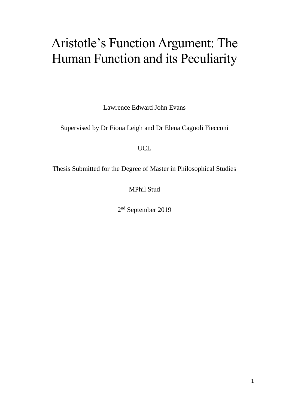# Aristotle's Function Argument: The Human Function and its Peculiarity

Lawrence Edward John Evans

Supervised by Dr Fiona Leigh and Dr Elena Cagnoli Fiecconi

UCL

Thesis Submitted for the Degree of Master in Philosophical Studies

MPhil Stud

2<sup>nd</sup> September 2019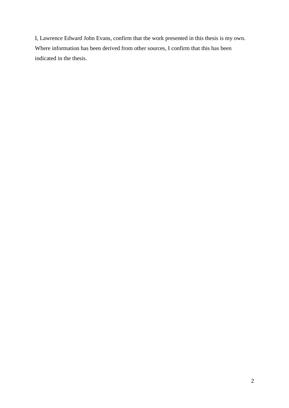I, Lawrence Edward John Evans, confirm that the work presented in this thesis is my own. Where information has been derived from other sources, I confirm that this has been indicated in the thesis.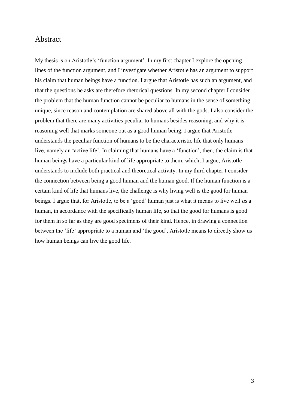#### <span id="page-2-0"></span>Abstract

My thesis is on Aristotle's 'function argument'. In my first chapter I explore the opening lines of the function argument, and I investigate whether Aristotle has an argument to support his claim that human beings have a function. I argue that Aristotle has such an argument, and that the questions he asks are therefore rhetorical questions. In my second chapter I consider the problem that the human function cannot be peculiar to humans in the sense of something unique, since reason and contemplation are shared above all with the gods. I also consider the problem that there are many activities peculiar to humans besides reasoning, and why it is reasoning well that marks someone out as a good human being. I argue that Aristotle understands the peculiar function of humans to be the characteristic life that only humans live, namely an 'active life'. In claiming that humans have a 'function', then, the claim is that human beings have a particular kind of life appropriate to them, which, I argue, Aristotle understands to include both practical and theoretical activity. In my third chapter I consider the connection between being a good human and the human good. If the human function is a certain kind of life that humans live, the challenge is why living well is the good for human beings. I argue that, for Aristotle, to be a 'good' human just is what it means to live well *as* a human, in accordance with the specifically human life, so that the good for humans is good for them in so far as they are good specimens of their kind. Hence, in drawing a connection between the 'life' appropriate to a human and 'the good', Aristotle means to directly show us how human beings can live the good life.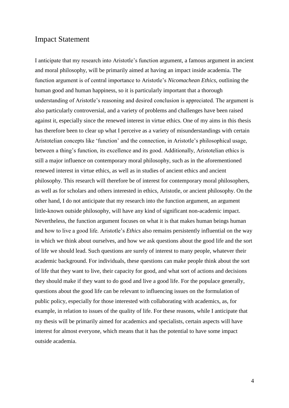#### <span id="page-3-0"></span>Impact Statement

I anticipate that my research into Aristotle's function argument, a famous argument in ancient and moral philosophy, will be primarily aimed at having an impact inside academia. The function argument is of central importance to Aristotle's *Nicomachean Ethics*, outlining the human good and human happiness, so it is particularly important that a thorough understanding of Aristotle's reasoning and desired conclusion is appreciated. The argument is also particularly controversial, and a variety of problems and challenges have been raised against it, especially since the renewed interest in virtue ethics. One of my aims in this thesis has therefore been to clear up what I perceive as a variety of misunderstandings with certain Aristotelian concepts like 'function' and the connection, in Aristotle's philosophical usage, between a thing's function, its excellence and its good. Additionally, Aristotelian ethics is still a major influence on contemporary moral philosophy, such as in the aforementioned renewed interest in virtue ethics, as well as in studies of ancient ethics and ancient philosophy. This research will therefore be of interest for contemporary moral philosophers, as well as for scholars and others interested in ethics, Aristotle, or ancient philosophy. On the other hand, I do not anticipate that my research into the function argument, an argument little-known outside philosophy, will have any kind of significant non-academic impact. Nevertheless, the function argument focuses on what it is that makes human beings human and how to live a good life. Aristotle's *Ethics* also remains persistently influential on the way in which we think about ourselves, and how we ask questions about the good life and the sort of life we should lead. Such questions are surely of interest to many people, whatever their academic background. For individuals, these questions can make people think about the sort of life that they want to live, their capacity for good, and what sort of actions and decisions they should make if they want to do good and live a good life. For the populace generally, questions about the good life can be relevant to influencing issues on the formulation of public policy, especially for those interested with collaborating with academics, as, for example, in relation to issues of the quality of life. For these reasons, while I anticipate that my thesis will be primarily aimed for academics and specialists, certain aspects will have interest for almost everyone, which means that it has the potential to have some impact outside academia.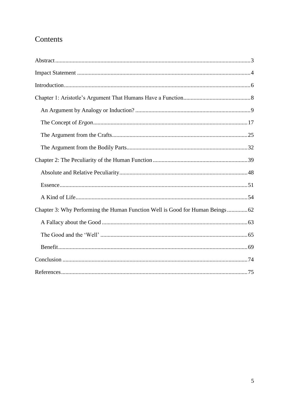## Contents

| Chapter 3: Why Performing the Human Function Well is Good for Human Beings62 |
|------------------------------------------------------------------------------|
|                                                                              |
|                                                                              |
|                                                                              |
|                                                                              |
|                                                                              |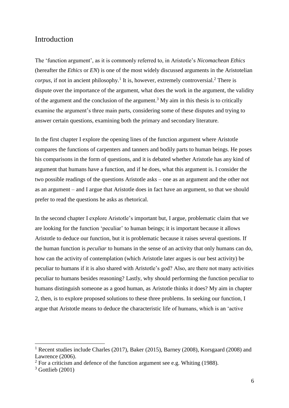### <span id="page-5-0"></span>Introduction

The 'function argument', as it is commonly referred to, in Aristotle's *Nicomachean Ethics*  (hereafter the *Ethics* or *EN*) is one of the most widely discussed arguments in the Aristotelian  $corpus$ , if not in ancient philosophy.<sup>1</sup> It is, however, extremely controversial.<sup>2</sup> There is dispute over the importance of the argument, what does the work in the argument, the validity of the argument and the conclusion of the argument.<sup>3</sup> My aim in this thesis is to critically examine the argument's three main parts, considering some of these disputes and trying to answer certain questions, examining both the primary and secondary literature.

In the first chapter I explore the opening lines of the function argument where Aristotle compares the functions of carpenters and tanners and bodily parts to human beings. He poses his comparisons in the form of questions, and it is debated whether Aristotle has any kind of argument that humans have a function, and if he does, what this argument is. I consider the two possible readings of the questions Aristotle asks – one as an argument and the other not as an argument – and I argue that Aristotle does in fact have an argument, so that we should prefer to read the questions he asks as rhetorical.

In the second chapter I explore Aristotle's important but, I argue, problematic claim that we are looking for the function 'peculiar' to human beings; it is important because it allows Aristotle to deduce our function, but it is problematic because it raises several questions. If the human function is *peculiar* to humans in the sense of an activity that only humans can do, how can the activity of contemplation (which Aristotle later argues is our best activity) be peculiar to humans if it is also shared with Aristotle's god? Also, are there not many activities peculiar to humans besides reasoning? Lastly, why should performing the function peculiar to humans distinguish someone as a good human, as Aristotle thinks it does? My aim in chapter 2, then, is to explore proposed solutions to these three problems. In seeking our function, I argue that Aristotle means to deduce the characteristic life of humans, which is an 'active

<u>.</u>

<sup>1</sup> Recent studies include Charles (2017), Baker (2015), Barney (2008), Korsgaard (2008) and Lawrence (2006).

 $2$  For a criticism and defence of the function argument see e.g. Whiting (1988).

 $3$  Gottlieb (2001)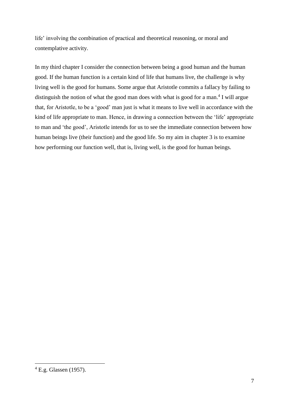life' involving the combination of practical and theoretical reasoning, or moral and contemplative activity.

In my third chapter I consider the connection between being a good human and the human good. If the human function is a certain kind of life that humans live, the challenge is why living well is the good for humans. Some argue that Aristotle commits a fallacy by failing to distinguish the notion of what the good man does with what is good for a man.<sup>4</sup> I will argue that, for Aristotle, to be a 'good' man just is what it means to live well in accordance with the kind of life appropriate to man. Hence, in drawing a connection between the 'life' appropriate to man and 'the good', Aristotle intends for us to see the immediate connection between how human beings live (their function) and the good life. So my aim in chapter 3 is to examine how performing our function well, that is, living well, is the good for human beings.

 $4$  E.g. Glassen (1957).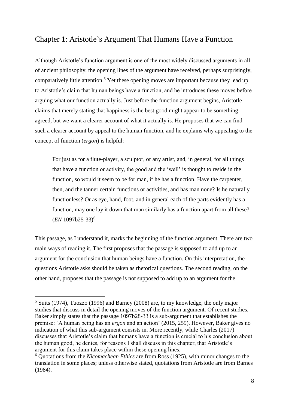## <span id="page-7-0"></span>Chapter 1: Aristotle's Argument That Humans Have a Function

Although Aristotle's function argument is one of the most widely discussed arguments in all of ancient philosophy, the opening lines of the argument have received, perhaps surprisingly, comparatively little attention.<sup>5</sup> Yet these opening moves are important because they lead up to Aristotle's claim that human beings have a function, and he introduces these moves before arguing what our function actually is. Just before the function argument begins, Aristotle claims that merely stating that happiness is the best good might appear to be something agreed, but we want a clearer account of what it actually is. He proposes that we can find such a clearer account by appeal to the human function, and he explains why appealing to the concept of function (*ergon*) is helpful:

For just as for a flute-player, a sculptor, or any artist, and, in general, for all things that have a function or activity, the good and the 'well' is thought to reside in the function, so would it seem to be for man, if he has a function. Have the carpenter, then, and the tanner certain functions or activities, and has man none? Is he naturally functionless? Or as eye, hand, foot, and in general each of the parts evidently has a function, may one lay it down that man similarly has a function apart from all these? (*EN* 1097b25-33)<sup>6</sup>

This passage, as I understand it, marks the beginning of the function argument. There are two main ways of reading it. The first proposes that the passage is supposed to add up to an argument for the conclusion that human beings have a function. On this interpretation, the questions Aristotle asks should be taken as rhetorical questions. The second reading, on the other hand, proposes that the passage is not supposed to add up to an argument for the

<sup>5</sup> Suits (1974), Tuozzo (1996) and Barney (2008) are, to my knowledge, the only major studies that discuss in detail the opening moves of the function argument. Of recent studies, Baker simply states that the passage 1097b28-33 is a sub-argument that establishes the premise: 'A human being has an *ergon* and an action' (2015, 259). However, Baker gives no indication of what this sub-argument consists in. More recently, while Charles (2017) discusses that Aristotle's claim that humans have a function is crucial to his conclusion about the human good, he denies, for reasons I shall discuss in this chapter, that Aristotle's argument for this claim takes place within these opening lines.

<sup>6</sup> Quotations from the *Nicomachean Ethics* are from Ross (1925), with minor changes to the translation in some places; unless otherwise stated, quotations from Aristotle are from Barnes (1984).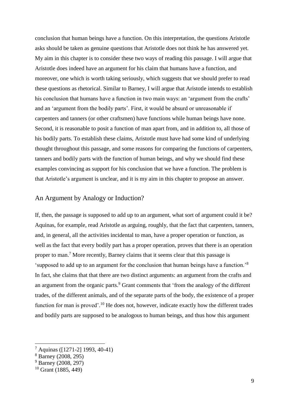conclusion that human beings have a function. On this interpretation, the questions Aristotle asks should be taken as genuine questions that Aristotle does not think he has answered yet. My aim in this chapter is to consider these two ways of reading this passage. I will argue that Aristotle does indeed have an argument for his claim that humans have a function, and moreover, one which is worth taking seriously, which suggests that we should prefer to read these questions as rhetorical. Similar to Barney, I will argue that Aristotle intends to establish his conclusion that humans have a function in two main ways: an 'argument from the crafts' and an 'argument from the bodily parts'. First, it would be absurd or unreasonable if carpenters and tanners (or other craftsmen) have functions while human beings have none. Second, it is reasonable to posit a function of man apart from, and in addition to, all those of his bodily parts. To establish these claims, Aristotle must have had some kind of underlying thought throughout this passage, and some reasons for comparing the functions of carpenters, tanners and bodily parts with the function of human beings, and why we should find these examples convincing as support for his conclusion that we have a function. The problem is that Aristotle's argument is unclear, and it is my aim in this chapter to propose an answer.

#### <span id="page-8-0"></span>An Argument by Analogy or Induction?

If, then, the passage is supposed to add up to an argument, what sort of argument could it be? Aquinas, for example, read Aristotle as arguing, roughly, that the fact that carpenters, tanners, and, in general, all the activities incidental to man, have a proper operation or function, as well as the fact that every bodily part has a proper operation, proves that there is an operation proper to man.<sup>7</sup> More recently, Barney claims that it seems clear that this passage is 'supposed to add up to an argument for the conclusion that human beings have a function.'<sup>8</sup> In fact, she claims that that there are two distinct arguments: an argument from the crafts and an argument from the organic parts.<sup>9</sup> Grant comments that 'from the analogy of the different trades, of the different animals, and of the separate parts of the body, the existence of a proper function for man is proved'.<sup>10</sup> He does not, however, indicate exactly how the different trades and bodily parts are supposed to be analogous to human beings, and thus how this argument

<u>.</u>

<sup>7</sup> Aquinas ([1271-2] 1993, 40-41)

 $8 \text{ Barnev}$  (2008, 295)

<sup>&</sup>lt;sup>9</sup> Barney (2008, 297)

 $10$  Grant (1885, 449)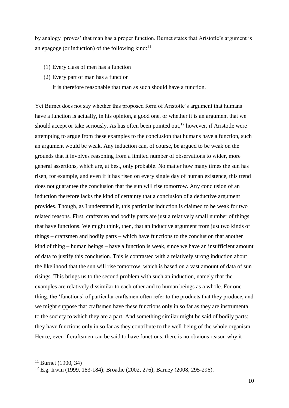by analogy 'proves' that man has a proper function. Burnet states that Aristotle's argument is an epagoge (or induction) of the following kind: $11$ 

- (1) Every class of men has a function
- (2) Every part of man has a function

It is therefore reasonable that man as such should have a function.

Yet Burnet does not say whether this proposed form of Aristotle's argument that humans have a function is actually, in his opinion, a good one, or whether it is an argument that we should accept or take seriously. As has often been pointed out,  $12$  however, if Aristotle were attempting to argue from these examples to the conclusion that humans have a function, such an argument would be weak. Any induction can, of course, be argued to be weak on the grounds that it involves reasoning from a limited number of observations to wider, more general assertions, which are, at best, only probable. No matter how many times the sun has risen, for example, and even if it has risen on every single day of human existence, this trend does not guarantee the conclusion that the sun will rise tomorrow. Any conclusion of an induction therefore lacks the kind of certainty that a conclusion of a deductive argument provides. Though, as I understand it, this particular induction is claimed to be weak for two related reasons. First, craftsmen and bodily parts are just a relatively small number of things that have functions. We might think, then, that an inductive argument from just two kinds of things – craftsmen and bodily parts – which have functions to the conclusion that another kind of thing – human beings – have a function is weak, since we have an insufficient amount of data to justify this conclusion. This is contrasted with a relatively strong induction about the likelihood that the sun will rise tomorrow, which is based on a vast amount of data of sun risings. This brings us to the second problem with such an induction, namely that the examples are relatively dissimilar to each other and to human beings as a whole. For one thing, the 'functions' of particular craftsmen often refer to the products that they produce, and we might suppose that craftsmen have these functions only in so far as they are instrumental to the society to which they are a part. And something similar might be said of bodily parts: they have functions only in so far as they contribute to the well-being of the whole organism. Hence, even if craftsmen can be said to have functions, there is no obvious reason why it

 $11$  Burnet (1900, 34)

<sup>12</sup> E.g. Irwin (1999, 183-184); Broadie (2002, 276); Barney (2008, 295-296).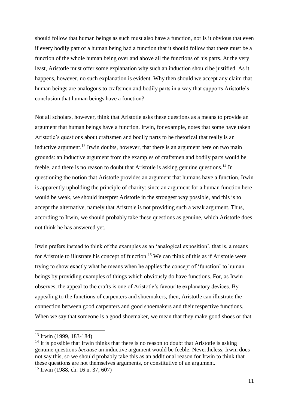should follow that human beings as such must also have a function, nor is it obvious that even if every bodily part of a human being had a function that it should follow that there must be a function of the whole human being over and above all the functions of his parts. At the very least, Aristotle must offer some explanation why such an induction should be justified. As it happens, however, no such explanation is evident. Why then should we accept any claim that human beings are analogous to craftsmen and bodily parts in a way that supports Aristotle's conclusion that human beings have a function?

Not all scholars, however, think that Aristotle asks these questions as a means to provide an argument that human beings have a function. Irwin, for example, notes that some have taken Aristotle's questions about craftsmen and bodily parts to be rhetorical that really is an inductive argument.<sup>13</sup> Irwin doubts, however, that there is an argument here on two main grounds: an inductive argument from the examples of craftsmen and bodily parts would be feeble, and there is no reason to doubt that Aristotle is asking genuine questions.<sup>14</sup> In questioning the notion that Aristotle provides an argument that humans have a function, Irwin is apparently upholding the principle of charity: since an argument for a human function here would be weak, we should interpret Aristotle in the strongest way possible, and this is to accept the alternative, namely that Aristotle is not providing such a weak argument. Thus, according to Irwin, we should probably take these questions as genuine, which Aristotle does not think he has answered yet.

Irwin prefers instead to think of the examples as an 'analogical exposition', that is, a means for Aristotle to illustrate his concept of function.<sup>15</sup> We can think of this as if Aristotle were trying to show exactly what he means when he applies the concept of 'function' to human beings by providing examples of things which obviously do have functions. For, as Irwin observes, the appeal to the crafts is one of Aristotle's favourite explanatory devices. By appealing to the functions of carpenters and shoemakers, then, Aristotle can illustrate the connection between good carpenters and good shoemakers and their respective functions. When we say that someone is a good shoemaker, we mean that they make good shoes or that

<sup>13</sup> Irwin (1999, 183-184)

 $14$  It is possible that Irwin thinks that there is no reason to doubt that Aristotle is asking genuine questions *because* an inductive argument would be feeble. Nevertheless, Irwin does not say this, so we should probably take this as an additional reason for Irwin to think that these questions are not themselves arguments, or constitutive of an argument.

<sup>15</sup> Irwin (1988, ch. 16 n. 37, 607)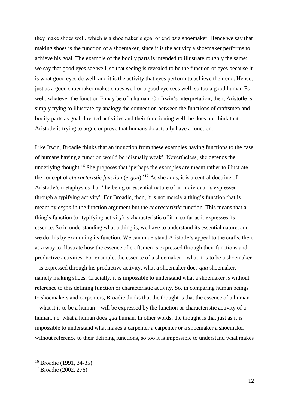they make shoes well, which is a shoemaker's goal or end *as* a shoemaker. Hence we say that making shoes is the function of a shoemaker, since it is the activity a shoemaker performs to achieve his goal. The example of the bodily parts is intended to illustrate roughly the same: we say that good eyes see well, so that seeing is revealed to be the function of eyes because it is what good eyes do well, and it is the activity that eyes perform to achieve their end. Hence, just as a good shoemaker makes shoes well or a good eye sees well, so too a good human Fs well, whatever the function F may be of a human. On Irwin's interpretation, then, Aristotle is simply trying to illustrate by analogy the connection between the functions of craftsmen and bodily parts as goal-directed activities and their functioning well; he does not think that Aristotle is trying to argue or prove that humans do actually have a function.

Like Irwin, Broadie thinks that an induction from these examples having functions to the case of humans having a function would be 'dismally weak'. Nevertheless, she defends the underlying thought.<sup>16</sup> She proposes that 'perhaps the examples are meant rather to illustrate the concept of *characteristic function* (*ergon*).'<sup>17</sup> As she adds, it is a central doctrine of Aristotle's metaphysics that 'the being or essential nature of an individual is expressed through a typifying activity'. For Broadie, then, it is not merely a thing's function that is meant by *ergon* in the function argument but the *characteristic* function. This means that a thing's function (or typifying activity) is characteristic of it in so far as it expresses its essence. So in understanding what a thing is, we have to understand its essential nature, and we do this by examining its function. We can understand Aristotle's appeal to the crafts, then, as a way to illustrate how the essence of craftsmen is expressed through their functions and productive activities. For example, the essence of a shoemaker – what it is to be a shoemaker – is expressed through his productive activity, what a shoemaker does *qua* shoemaker, namely making shoes. Crucially, it is impossible to understand what a shoemaker *is* without reference to this defining function or characteristic activity. So, in comparing human beings to shoemakers and carpenters, Broadie thinks that the thought is that the essence of a human – what it is to be a human – will be expressed by the function or characteristic activity of a human, i.e. what a human does *qua* human. In other words, the thought is that just as it is impossible to understand what makes a carpenter a carpenter or a shoemaker a shoemaker without reference to their defining functions, so too it is impossible to understand what makes

<sup>16</sup> Broadie (1991, 34-35)

<sup>17</sup> Broadie (2002, 276)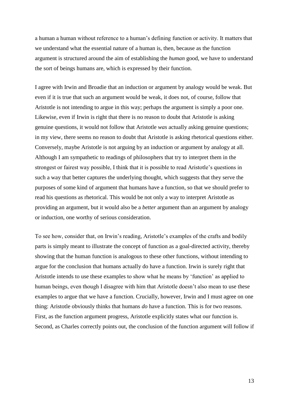a human a human without reference to a human's defining function or activity. It matters that we understand what the essential nature of a human is, then, because as the function argument is structured around the aim of establishing the *human* good, we have to understand the sort of beings humans are, which is expressed by their function.

I agree with Irwin and Broadie that an induction or argument by analogy would be weak. But even if it is true that such an argument would be weak, it does not, of course, follow that Aristotle is not intending to argue in this way; perhaps the argument is simply a poor one. Likewise, even if Irwin is right that there is no reason to doubt that Aristotle is asking genuine questions, it would not follow that Aristotle *was* actually asking genuine questions; in my view, there seems no reason to doubt that Aristotle is asking rhetorical questions either. Conversely, maybe Aristotle is not arguing by an induction or argument by analogy at all. Although I am sympathetic to readings of philosophers that try to interpret them in the strongest or fairest way possible, I think that it is possible to read Aristotle's questions in such a way that better captures the underlying thought, which suggests that they serve the purposes of some kind of argument that humans have a function, so that we should prefer to read his questions as rhetorical. This would be not only a way to interpret Aristotle as providing an argument, but it would also be a *better* argument than an argument by analogy or induction, one worthy of serious consideration.

To see how, consider that, on Irwin's reading, Aristotle's examples of the crafts and bodily parts is simply meant to illustrate the concept of function as a goal-directed activity, thereby showing that the human function is analogous to these other functions, without intending to argue for the conclusion that humans actually do have a function. Irwin is surely right that Aristotle intends to use these examples to show what he means by 'function' as applied to human beings, even though I disagree with him that Aristotle doesn't also mean to use these examples to argue that we have a function. Crucially, however, Irwin and I must agree on one thing: Aristotle obviously thinks that humans *do* have a function. This is for two reasons. First, as the function argument progress, Aristotle explicitly states what our function is. Second, as Charles correctly points out, the conclusion of the function argument will follow if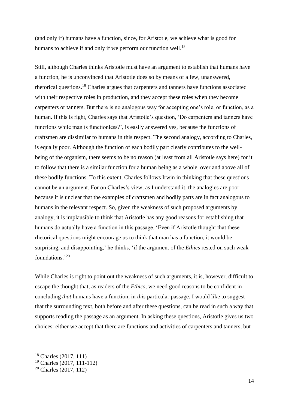(and only if) humans have a function, since, for Aristotle, we achieve what is good for humans to achieve if and only if we perform our function well.<sup>18</sup>

Still, although Charles thinks Aristotle must have an argument to establish that humans have a function, he is unconvinced that Aristotle does so by means of a few, unanswered, rhetorical questions. <sup>19</sup> Charles argues that carpenters and tanners have functions associated with their respective roles in production, and they accept these roles when they become carpenters or tanners. But there is no analogous way for accepting one's role, or function, as a human. If this is right, Charles says that Aristotle's question, 'Do carpenters and tanners have functions while man is functionless?', is easily answered yes, because the functions of craftsmen are dissimilar to humans in this respect. The second analogy, according to Charles, is equally poor. Although the function of each bodily part clearly contributes to the wellbeing of the organism, there seems to be no reason (at least from all Aristotle says here) for it to follow that there is a similar function for a human being as a whole, over and above all of these bodily functions. To this extent, Charles follows Irwin in thinking that these questions cannot be an argument. For on Charles's view, as I understand it, the analogies are poor because it is unclear that the examples of craftsmen and bodily parts are in fact analogous to humans in the relevant respect. So, given the weakness of such proposed arguments by analogy, it is implausible to think that Aristotle has any good reasons for establishing that humans do actually have a function in this passage. 'Even if Aristotle thought that these rhetorical questions might encourage us to think that man has a function, it would be surprising, and disappointing,' he thinks, 'if the argument of the *Ethics* rested on such weak foundations.'<sup>20</sup>

While Charles is right to point out the weakness of such arguments, it is, however, difficult to escape the thought that, as readers of the *Ethics*, we need good reasons to be confident in concluding *that* humans have a function, in *this* particular passage. I would like to suggest that the surrounding text, both before and after these questions, can be read in such a way that supports reading the passage as an argument. In asking these questions, Aristotle gives us two choices: either we accept that there are functions and activities of carpenters and tanners, but

<u>.</u>

<sup>18</sup> Charles (2017, 111)

<sup>19</sup> Charles (2017, 111-112)

<sup>20</sup> Charles (2017, 112)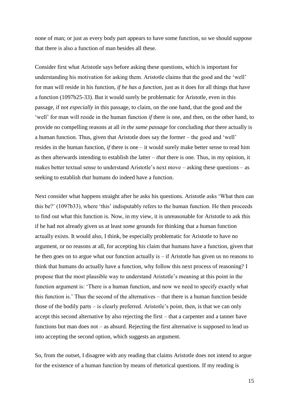none of man; or just as every body part appears to have some function, so we should suppose that there is also a function of man besides all these.

Consider first what Aristotle says before asking these questions, which is important for understanding his motivation for asking them. Aristotle claims that the good and the 'well' for man will reside in his function, *if he has a function*, just as it does for all things that have a function (1097b25-33). But it would surely be problematic for Aristotle, even in this passage, if not *especially* in this passage, to claim, on the one hand, that the good and the 'well' for man will reside in the human function *if* there is one, and then, on the other hand, to provide no compelling reasons at all *in the same passage* for concluding *that* there actually is a human function. Thus, given that Aristotle does say the former – the good and 'well' resides in the human function, *if* there is one – it would surely make better sense to read him as then afterwards intending to establish the latter – *that* there is one. Thus, in my opinion, it makes better textual sense to understand Aristotle's next move – asking these questions – as seeking to establish *that* humans do indeed have a function.

Next consider what happens straight after he asks his questions. Aristotle asks 'What then can this be?' (1097b33), where 'this' indisputably refers to the human function. He then proceeds to find out what this function is. Now, in my view, it is unreasonable for Aristotle to ask this if he had not already given us at least *some* grounds for thinking that a human function actually exists. It would also, I think, be especially problematic for Aristotle to have no argument, or no reasons at all, for accepting his claim that humans have a function, given that he then goes on to argue what our function actually is – if Aristotle has given us no reasons to think that humans do actually have a function, why follow this next process of reasoning? I propose that the most plausible way to understand Aristotle's meaning at this point in the function argument is: 'There is a human function, and now we need to specify exactly what this function is.' Thus the second of the alternatives – that there is a human function beside those of the bodily parts – is clearly preferred. Aristotle's point, then, is that we can only accept this second alternative by also rejecting the first – that a carpenter and a tanner have functions but man does not – as absurd. Rejecting the first alternative is supposed to lead us into accepting the second option, which suggests an argument.

So, from the outset, I disagree with any reading that claims Aristotle does not intend to argue for the existence of a human function by means of rhetorical questions. If my reading is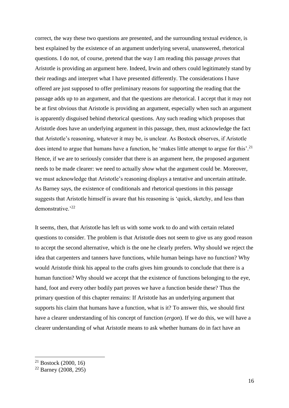correct, the way these two questions are presented, and the surrounding textual evidence, is best explained by the existence of an argument underlying several, unanswered, rhetorical questions. I do not, of course, pretend that the way I am reading this passage *proves* that Aristotle is providing an argument here. Indeed, Irwin and others could legitimately stand by their readings and interpret what I have presented differently. The considerations I have offered are just supposed to offer preliminary reasons for supporting the reading that the passage adds up to an argument, and that the questions are rhetorical. I accept that it may not be at first obvious that Aristotle is providing an argument, especially when such an argument is apparently disguised behind rhetorical questions. Any such reading which proposes that Aristotle does have an underlying argument in this passage, then, must acknowledge the fact that Aristotle's reasoning, whatever it may be, is unclear. As Bostock observes, if Aristotle does intend to argue that humans have a function, he 'makes little attempt to argue for this'.<sup>21</sup> Hence, if we are to seriously consider that there is an argument here, the proposed argument needs to be made clearer: we need to actually *show* what the argument could be. Moreover, we must acknowledge that Aristotle's reasoning displays a tentative and uncertain attitude. As Barney says, the existence of conditionals and rhetorical questions in this passage suggests that Aristotle himself is aware that his reasoning is 'quick, sketchy, and less than demonstrative.'<sup>22</sup>

It seems, then, that Aristotle has left us with some work to do and with certain related questions to consider. The problem is that Aristotle does not seem to give us any good reason to accept the second alternative, which is the one he clearly prefers. Why should we reject the idea that carpenters and tanners have functions, while human beings have no function? Why would Aristotle think his appeal to the crafts gives him grounds to conclude that there is a human function? Why should we accept that the existence of functions belonging to the eye, hand, foot and every other bodily part proves we have a function beside these? Thus the primary question of this chapter remains: If Aristotle has an underlying argument that supports his claim that humans have a function, what is it? To answer this, we should first have a clearer understanding of his concept of function (*ergon*). If we do this, we will have a clearer understanding of what Aristotle means to ask whether humans do in fact have an

<sup>21</sup> Bostock (2000, 16)

 $22$  Barney (2008, 295)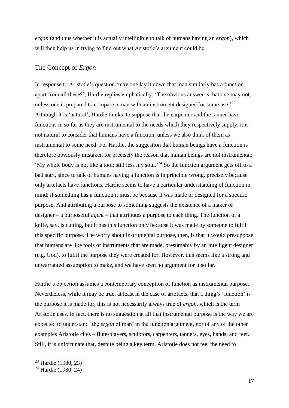*ergon* (and thus whether it is actually intelligible to talk of humans having an *ergon*), which will then help us in trying to find out what Aristotle's argument could be.

#### <span id="page-16-0"></span>The Concept of *Ergon*

In response to Aristotle's question 'may one lay it down that man similarly has a function apart from all these?', Hardie replies emphatically: 'The obvious answer is that one may not, unless one is prepared to compare a man with an instrument designed for some use.<sup> $23$ </sup> Although it is 'natural', Hardie thinks, to suppose that the carpenter and the tanner have functions in so far as they are instrumental to the needs which they respectively supply, it is not natural to consider that humans have a function, unless we also think of them as instrumental to some need. For Hardie, the suggestion that human beings have a function is therefore obviously mistaken for precisely the reason that human beings are not instrumental: 'My whole body is not like a tool; still less my soul.'<sup>24</sup> So the function argument gets off to a bad start, since to talk of humans having a function is in principle wrong, precisely because only artefacts have functions. Hardie seems to have a particular understanding of function in mind: if something has a function it must be because it was made or designed for a specific purpose. And attributing a purpose to something suggests the existence of a maker or designer – a purposeful *agent* – that attributes a purpose to each thing. The function of a knife, say, is cutting, but it has this function only because it was made by someone to fulfil this specific purpose. The worry about instrumental purpose, then, is that it would presuppose that humans are like tools or instruments that are made, presumably by an intelligent designer (e.g. God), to fulfil the purpose they were created for. However, this seems like a strong and unwarranted assumption to make, and we have seen no argument for it so far.

Hardie's objection assumes a contemporary conception of function as instrumental purpose. Nevertheless, while it may be true, at least in the case of artefacts, that a thing's 'function' is the purpose it is made for, this is not necessarily always true of *ergon*, which is the term Aristotle uses. In fact, there is no suggestion at all that instrumental purpose is the way we are expected to understand 'the *ergon* of man' in the function argument, nor of any of the other examples Aristotle cites – flute-players, sculptors, carpenters, tanners, eyes, hands, and feet. Still, it is unfortunate that, despite being a key term, Aristotle does not feel the need to

<sup>23</sup> Hardie (1980, 23)

<sup>24</sup> Hardie (1980, 24)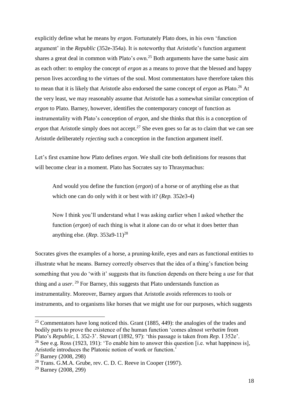explicitly define what he means by *ergon*. Fortunately Plato does, in his own 'function argument' in the *Republic* (352e-354a). It is noteworthy that Aristotle's function argument shares a great deal in common with Plato's own.<sup>25</sup> Both arguments have the same basic aim as each other: to employ the concept of *ergon* as a means to prove that the blessed and happy person lives according to the virtues of the soul. Most commentators have therefore taken this to mean that it is likely that Aristotle also endorsed the same concept of *ergon* as Plato.<sup>26</sup> At the very least, we may reasonably assume that Aristotle has a somewhat similar conception of *ergon* to Plato. Barney, however, identifies the contemporary concept of function as instrumentality with Plato's conception of *ergon*, and she thinks that this is a conception of *ergon* that Aristotle simply does not accept.<sup>27</sup> She even goes so far as to claim that we can see Aristotle deliberately *rejecting* such a conception in the function argument itself.

Let's first examine how Plato defines *ergon*. We shall cite both definitions for reasons that will become clear in a moment. Plato has Socrates say to Thrasymachus:

And would you define the function (*ergon*) of a horse or of anything else as that which one can do only with it or best with it? (*Rep.* 352e3-4)

Now I think you'll understand what I was asking earlier when I asked whether the function (*ergon*) of each thing is what it alone can do or what it does better than anything else. (*Rep*. 353a9-11)<sup>28</sup>

Socrates gives the examples of a horse, a pruning-knife, eyes and ears as functional entities to illustrate what he means. Barney correctly observes that the idea of a thing's function being something that you do 'with it' suggests that its function depends on there being a *use* for that thing and a *user*. <sup>29</sup> For Barney, this suggests that Plato understands function as instrumentality. Moreover, Barney argues that Aristotle avoids references to tools or instruments, and to organisms like horses that we might use for our purposes, which suggests

<sup>&</sup>lt;sup>25</sup> Commentators have long noticed this. Grant (1885, 449): the analogies of the trades and bodily parts to prove the existence of the human function 'comes almost *verbatim* from Plato's *Republic*, I. 352-3'. Stewart (1892, 97): 'this passage is taken from *Rep.* I 352e'.

<sup>&</sup>lt;sup>26</sup> See e.g. Ross (1923, 191): 'To enable him to answer this question [i.e. what happiness is], Aristotle introduces the Platonic notion of work or function.'

 $27$  Barney (2008, 298)

<sup>28</sup> Trans. G.M.A. Grube, rev. C. D. C. Reeve in Cooper (1997).

<sup>29</sup> Barney (2008, 299)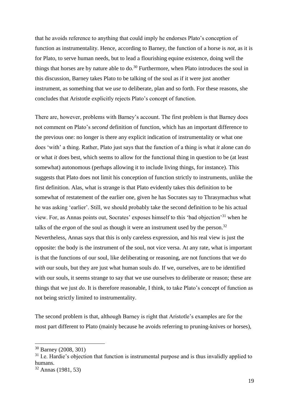that he avoids reference to anything that could imply he endorses Plato's conception of function as instrumentality. Hence, according to Barney, the function of a horse is *not*, as it is for Plato, to serve human needs, but to lead a flourishing equine existence, doing well the things that horses are by nature able to do.<sup>30</sup> Furthermore, when Plato introduces the soul in this discussion, Barney takes Plato to be talking of the soul as if it were just another instrument, as something that we *use* to deliberate, plan and so forth. For these reasons, she concludes that Aristotle explicitly rejects Plato's concept of function.

There are, however, problems with Barney's account. The first problem is that Barney does not comment on Plato's *second* definition of function, which has an important difference to the previous one: no longer is there any explicit indication of instrumentality or what one does 'with' a thing. Rather, Plato just says that the function of a thing is what *it* alone can do or what *it* does best, which seems to allow for the functional thing in question to be (at least somewhat) autonomous (perhaps allowing it to include living things, for instance). This suggests that Plato does not limit his conception of function strictly to instruments, unlike the first definition. Alas, what is strange is that Plato evidently takes this definition to be somewhat of restatement of the earlier one, given he has Socrates say to Thrasymachus what he was asking 'earlier'. Still, we should probably take the second definition to be his actual view. For, as Annas points out, Socrates' exposes himself to this 'bad objection'<sup>31</sup> when he talks of the *ergon* of the soul as though it were an instrument used by the person.<sup>32</sup> Nevertheless, Annas says that this is only careless expression, and his real view is just the opposite: the body is the instrument of the soul, not vice versa. At any rate, what is important is that the functions of our soul, like deliberating or reasoning, are not functions that we do *with* our souls, but they are just what human souls *do*. If we, ourselves, are to be identified with our souls, it seems strange to say that we use ourselves to deliberate or reason; these are things that we just *do*. It is therefore reasonable, I think, to take Plato's concept of function as not being strictly limited to instrumentality.

The second problem is that, although Barney is right that Aristotle's examples are for the most part different to Plato (mainly because he avoids referring to pruning-knives or horses),

<u>.</u>

 $31$  I.e. Hardie's objection that function is instrumental purpose and is thus invalidly applied to humans.

<sup>30</sup> Barney (2008, 301)

<sup>32</sup> Annas (1981, 53)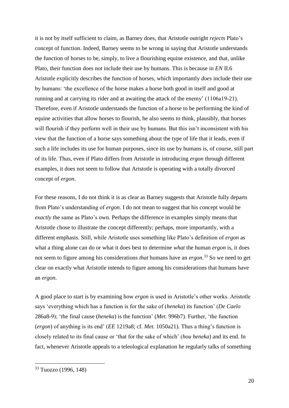it is not by itself sufficient to claim, as Barney does, that Aristotle outright *rejects* Plato's concept of function. Indeed, Barney seems to be wrong in saying that Aristotle understands the function of horses to be, simply, to live a flourishing equine existence, and that, unlike Plato, their function does not include their use by humans. This is because in *EN* II.6 Aristotle explicitly describes the function of horses, which importantly *does* include their use by humans: 'the excellence of the horse makes a horse both good in itself and good at running and at carrying its rider and at awaiting the attack of the enemy' (1106a19-21). Therefore, even if Aristotle understands the function of a horse to be performing the kind of equine activities that allow horses to flourish, he also seems to think, plausibly, that horses will flourish if they perform well in their use by humans. But this isn't inconsistent with his view that the function of a horse says something about the type of life that it leads, even if such a life includes its use for human purposes, since its use by humans is, of course, still part of its life. Thus, even if Plato differs from Aristotle in introducing *ergon* through different examples, it does not seem to follow that Aristotle is operating with a totally divorced concept of *ergon*.

For these reasons, I do not think it is as clear as Barney suggests that Aristotle fully departs from Plato's understanding of *ergon*. I do not mean to suggest that his concept would be *exactly* the same as Plato's own. Perhaps the difference in examples simply means that Aristotle chose to illustrate the concept differently; perhaps, more importantly, with a different emphasis. Still, while Aristotle uses something like Plato's definition of *ergon* as what a thing alone can do or what it does best to determine *what* the human *ergon* is, it does not seem to figure among his considerations *that* humans have an *ergon*. <sup>33</sup> So we need to get clear on exactly what Aristotle intends to figure among his considerations that humans have an *ergon*.

A good place to start is by examining how *ergon* is used in Aristotle's other works. Aristotle says 'everything which has a function is for the sake of (*heneka*) its function' (*De Caelo* 286a8-9); 'the final cause (*heneka*) is the function' (*Met.* 996b7). Further, 'the function (*ergon*) of anything is its end' (*EE* 1219a8; cf. *Met.* 1050a21). Thus a thing's function is closely related to its final cause or 'that for the sake of which' (*hou heneka*) and its end. In fact, whenever Aristotle appeals to a teleological explanation he regularly talks of something

<sup>33</sup> Tuozzo (1996, 148)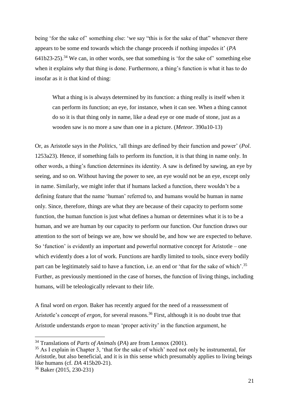being 'for the sake of' something else: 'we say "this is for the sake of that" whenever there appears to be some end towards which the change proceeds if nothing impedes it' (*PA*   $641b23-25$ .<sup>34</sup> We can, in other words, see that something is 'for the sake of' something else when it explains *why* that thing is done. Furthermore, a thing's function is what it has to do insofar as it *is* that kind of thing:

What a thing is is always determined by its function: a thing really is itself when it can perform its function; an eye, for instance, when it can see. When a thing cannot do so it is that thing only in name, like a dead eye or one made of stone, just as a wooden saw is no more a saw than one in a picture. (*Meteor.* 390a10-13)

Or, as Aristotle says in the *Politics*, 'all things are defined by their function and power' (*Pol*. 1253a23). Hence, if something fails to perform its function, it is that thing in name only. In other words, a thing's function determines its identity. A saw is defined by sawing, an eye by seeing, and so on. Without having the power to see, an eye would not be an eye, except only in name. Similarly, we might infer that if humans lacked a function, there wouldn't be a defining feature that the name 'human' referred to, and humans would be human in name only. Since, therefore, things are what they are because of their capacity to perform some function, the human function is just what defines a human or determines what it is to be a human, and we are human by our capacity to perform our function. Our function draws our attention to the sort of beings we are, how we should be, and how we are expected to behave. So 'function' is evidently an important and powerful normative concept for Aristotle – one which evidently does a lot of work. Functions are hardly limited to tools, since every bodily part can be legitimately said to have a function, i.e. an end or 'that for the sake of which'.<sup>35</sup> Further, as previously mentioned in the case of horses, the function of living things, including humans, will be teleologically relevant to their life.

A final word on *ergon*. Baker has recently argued for the need of a reassessment of Aristotle's concept of *ergon*, for several reasons.<sup>36</sup> First, although it is no doubt true that Aristotle understands *ergon* to mean 'proper activity' in the function argument, he

<sup>34</sup> Translations of *Parts of Animals* (*PA*) are from Lennox (2001).

 $35$  As I explain in Chapter 3, 'that for the sake of which' need not only be instrumental, for Aristotle, but also beneficial, and it is in this sense which presumably applies to living beings like humans (cf. *DA* 415b20-21).

<sup>36</sup> Baker (2015, 230-231)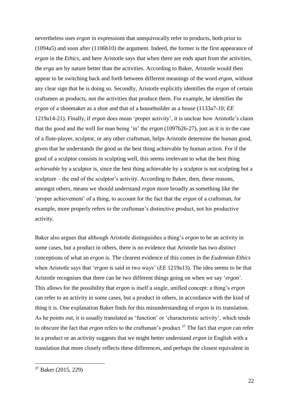nevertheless uses *ergon* in expressions that unequivocally refer to products, both prior to (1094a5) and soon after (1106b10) the argument. Indeed, the former is the first appearance of *ergon* in the *Ethics*, and here Aristotle says that when there are ends apart from the activities, the *erga* are by nature better than the activities. According to Baker, Aristotle would then appear to be switching back and forth between different meanings of the word *ergon*, without any clear sign that he is doing so. Secondly, Aristotle explicitly identifies the *ergon* of certain craftsmen as products, not the activities that produce them. For example, he identifies the *ergon* of a shoemaker as a shoe and that of a housebuilder as a house (1133a7-10; *EE* 1219a14-21). Finally, if *ergon* does mean 'proper activity', it is unclear how Aristotle's claim that the good and the well for man being 'in' the *ergon* (1097b26-27), just as it is in the case of a flute-player, sculptor, or any other craftsman, helps Aristotle determine the human good, given that he understands the good as the best thing achievable by human action. For if the good of a sculptor consists in sculpting well, this seems irrelevant to what the best thing *achievable* by a sculptor is, since the best thing achievable by a sculptor is not sculpting but a sculpture – the end of the sculptor's activity. According to Baker, then, these reasons, amongst others, means we should understand *ergon* more broadly as something like the 'proper achievement' of a thing, to account for the fact that the *ergon* of a craftsman, for example, more properly refers to the craftsman's distinctive product, not his productive activity.

Baker also argues that although Aristotle distinguishes a thing's *ergon* to be an activity in some cases, but a product in others, there is no evidence that Aristotle has two *distinct* conceptions of what an *ergon* is. The clearest evidence of this comes in the *Eudemian Ethics* when Aristotle says that '*ergon* is said in two ways' (*EE* 1219a13). The idea seems to be that Aristotle recognises that there can be two different things going on when we say '*ergon*'. This allows for the possibility that *ergon* is itself a single, unified concept: a thing's *ergon*  can refer to an activity in some cases, but a product in others, in accordance with the kind of thing it is. One explanation Baker finds for this misunderstanding of *ergon* is its translation. As he points out, it is usually translated as 'function' or 'characteristic activity', which tends to obscure the fact that *ergon* refers to the craftsman's product.<sup>37</sup> The fact that *ergon* can refer to a product or an activity suggests that we might better understand *ergon* in English with a translation that more closely reflects these differences, and perhaps the closest equivalent in

<sup>37</sup> Baker (2015, 229)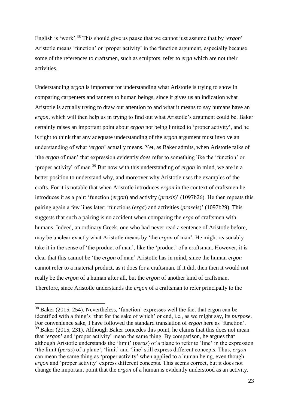English is 'work'.<sup>38</sup> This should give us pause that we cannot just assume that by '*ergon*' Aristotle means 'function' or 'proper activity' in the function argument, especially because some of the references to craftsmen, such as sculptors, refer to *erga* which are not their activities.

Understanding *ergon* is important for understanding what Aristotle is trying to show in comparing carpenters and tanners to human beings, since it gives us an indication what Aristotle is actually trying to draw our attention to and what it means to say humans have an *ergon*, which will then help us in trying to find out what Aristotle's argument could be. Baker certainly raises an important point about *ergon* not being limited to 'proper activity', and he is right to think that any adequate understanding of the *ergon* argument must involve an understanding of what '*ergon*' actually means. Yet, as Baker admits, when Aristotle talks of 'the *ergon* of man' that expression evidently *does* refer to something like the 'function' or 'proper activity' of man.<sup>39</sup> But now with this understanding of *ergon* in mind, we are in a better position to understand why, and moreover why Aristotle uses the examples of the crafts. For it is notable that when Aristotle introduces *ergon* in the context of craftsmen he introduces it as a pair: 'function (*ergon*) and activity (*praxis*)' (1097b26). He then repeats this pairing again a few lines later: 'functions (*erga*) and activities (*praxeis*)' (1097b29). This suggests that such a pairing is no accident when comparing the *erga* of craftsmen with humans. Indeed, an ordinary Greek, one who had never read a sentence of Aristotle before, may be unclear exactly what Aristotle means by 'the *ergon* of man'. He might reasonably take it in the sense of 'the product of man', like the 'product' of a craftsman. However, it is clear that this cannot be 'the *ergon* of man' Aristotle has in mind, since the human *ergon* cannot refer to a material product, as it does for a craftsman. If it did, then then it would not really be the *ergon* of a human after all, but the *ergon* of another kind of craftsman. Therefore, since Aristotle understands the *ergon* of a craftsman to refer principally to the

<u>.</u>

<sup>38</sup> Baker (2015, 254). Nevertheless, 'function' expresses well the fact that ergon can be identified with a thing's 'that for the sake of which' or end, i.e., as we might say, its *purpose*. For convenience sake, I have followed the standard translation of *ergon* here as 'function'.  $39$  Baker (2015, 231). Although Baker concedes this point, he claims that this does not mean that '*ergon*' and 'proper activity' mean the same thing. By comparison, he argues that although Aristotle understands the 'limit' (*peras*) of a plane to refer to 'line' in the expression 'the limit (*peras*) of a plane', 'limit' and 'line' still express different concepts. Thus, *ergon* can mean the same thing as 'proper activity' when applied to a human being, even though *ergon* and 'proper activity' express different concepts. This seems correct, but it does not change the important point that the *ergon* of a human is evidently understood as an activity.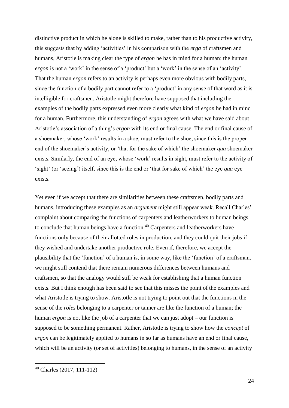distinctive product in which he alone is skilled to make, rather than to his productive activity, this suggests that by adding 'activities' in his comparison with the *erga* of craftsmen and humans, Aristotle is making clear the type of *ergon* he has in mind for a human: the human *ergon* is not a 'work' in the sense of a 'product' but a 'work' in the sense of an 'activity'. That the human *ergon* refers to an activity is perhaps even more obvious with bodily parts, since the function of a bodily part cannot refer to a 'product' in any sense of that word as it is intelligible for craftsmen. Aristotle might therefore have supposed that including the examples of the bodily parts expressed even more clearly what kind of *ergon* he had in mind for a human. Furthermore, this understanding of *ergon* agrees with what we have said about Aristotle's association of a thing's *ergon* with its end or final cause. The end or final cause of a shoemaker, whose 'work' results in a shoe, must refer to the shoe, since this is the proper end of the shoemaker's activity, or 'that for the sake of which' the shoemaker *qua* shoemaker exists. Similarly, the end of an eye, whose 'work' results in sight, must refer to the activity of 'sight' (or 'seeing') itself, since this is the end or 'that for sake of which' the eye *qua* eye exists.

Yet even if we accept that there are similarities between these craftsmen, bodily parts and humans, introducing these examples as an *argument* might still appear weak. Recall Charles' complaint about comparing the functions of carpenters and leatherworkers to human beings to conclude that human beings have a function.<sup>40</sup> Carpenters and leatherworkers have functions only because of their allotted roles in production, and they could quit their jobs if they wished and undertake another productive role. Even if, therefore, we accept the plausibility that the 'function' of a human is, in some way, like the 'function' of a craftsman, we might still contend that there remain numerous differences between humans and craftsmen, so that the analogy would still be weak for establishing that a human function exists. But I think enough has been said to see that this misses the point of the examples and what Aristotle is trying to show. Aristotle is not trying to point out that the functions in the sense of the *roles* belonging to a carpenter or tanner are like the function of a human; the human *ergon* is not like the job of a carpenter that we can just adopt – our function is supposed to be something permanent. Rather, Aristotle is trying to show how the *concept* of *ergon* can be legitimately applied to humans in so far as humans have an end or final cause, which will be an activity (or set of activities) belonging to humans, in the sense of an activity

<sup>40</sup> Charles (2017, 111-112)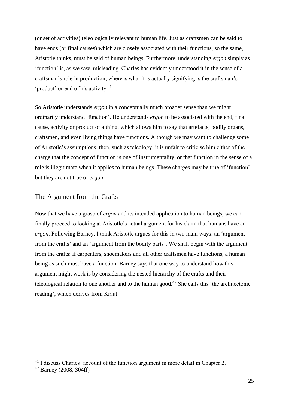(or set of activities) teleologically relevant to human life. Just as craftsmen can be said to have ends (or final causes) which are closely associated with their functions, so the same, Aristotle thinks, must be said of human beings. Furthermore, understanding *ergon* simply as 'function' is, as we saw, misleading. Charles has evidently understood it in the sense of a craftsman's role in production, whereas what it is actually signifying is the craftsman's 'product' or end of his activity.<sup>41</sup>

So Aristotle understands *ergon* in a conceptually much broader sense than we might ordinarily understand 'function'. He understands *ergon* to be associated with the end, final cause, activity or product of a thing, which allows him to say that artefacts, bodily organs, craftsmen, and even living things have functions. Although we may want to challenge some of Aristotle's assumptions, then, such as teleology, it is unfair to criticise him either of the charge that the concept of function is one of instrumentality, or that function in the sense of a role is illegitimate when it applies to human beings. These charges may be true of 'function', but they are not true of *ergon*.

### <span id="page-24-0"></span>The Argument from the Crafts

Now that we have a grasp of *ergon* and its intended application to human beings, we can finally proceed to looking at Aristotle's actual argument for his claim that humans have an *ergon*. Following Barney, I think Aristotle argues for this in two main ways: an 'argument from the crafts' and an 'argument from the bodily parts'. We shall begin with the argument from the crafts: if carpenters, shoemakers and all other craftsmen have functions, a human being as such must have a function. Barney says that one way to understand how this argument might work is by considering the nested hierarchy of the crafts and their teleological relation to one another and to the human good.<sup>42</sup> She calls this 'the architectonic reading', which derives from Kraut:

<sup>&</sup>lt;sup>41</sup> I discuss Charles' account of the function argument in more detail in Chapter 2.

<sup>42</sup> Barney (2008, 304ff)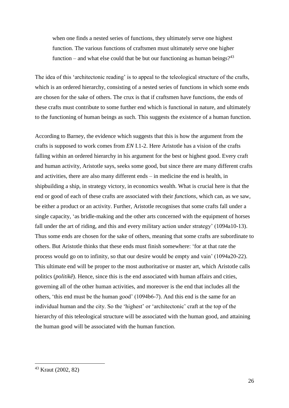when one finds a nested series of functions, they ultimately serve one highest function. The various functions of craftsmen must ultimately serve one higher function – and what else could that be but our functioning as human beings?<sup>43</sup>

The idea of this 'architectonic reading' is to appeal to the teleological structure of the crafts, which is an ordered hierarchy, consisting of a nested series of functions in which some ends are chosen for the sake of others. The crux is that if craftsmen have functions, the ends of these crafts must contribute to some further end which is functional in nature, and ultimately to the functioning of human beings as such. This suggests the existence of a human function.

According to Barney, the evidence which suggests that this is how the argument from the crafts is supposed to work comes from *EN* I.1-2. Here Aristotle has a vision of the crafts falling within an ordered hierarchy in his argument for the best or highest good. Every craft and human activity, Aristotle says, seeks some good, but since there are many different crafts and activities, there are also many different ends – in medicine the end is health, in shipbuilding a ship, in strategy victory, in economics wealth. What is crucial here is that the end or good of each of these crafts are associated with their *functions*, which can, as we saw, be either a product or an activity. Further, Aristotle recognises that some crafts fall under a single capacity, 'as bridle-making and the other arts concerned with the equipment of horses fall under the art of riding, and this and every military action under strategy' (1094a10-13). Thus some ends are chosen for the sake of others, meaning that some crafts are subordinate to others. But Aristotle thinks that these ends must finish somewhere: 'for at that rate the process would go on to infinity, so that our desire would be empty and vain' (1094a20-22). This ultimate end will be proper to the most authoritative or master art, which Aristotle calls politics (*politikê*). Hence, since this is the end associated with human affairs and cities, governing all of the other human activities, and moreover is the end that includes all the others, 'this end must be the human good' (1094b6-7). And this end is the same for an individual human and the city. So the 'highest' or 'architectonic' craft at the top of the hierarchy of this teleological structure will be associated with the human good, and attaining the human good will be associated with the human function.

<sup>43</sup> Kraut (2002, 82)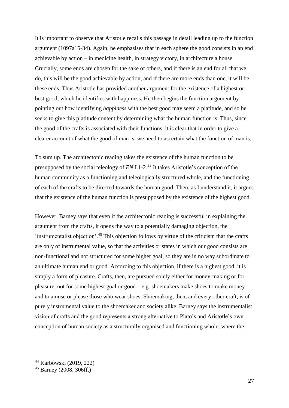It is important to observe that Aristotle recalls this passage in detail leading up to the function argument (1097a15-34). Again, he emphasises that in each sphere the good consists in an end achievable by action – in medicine health, in strategy victory, in architecture a house. Crucially, some ends are chosen for the sake of others, and if there is an end for all that we do, this will be the good achievable by action, and if there are more ends than one, it will be these ends. Thus Aristotle has provided another argument for the existence of a highest or best good, which he identifies with happiness. He then begins the function argument by pointing out how identifying *happiness* with the best good may seem a platitude, and so he seeks to give this platitude content by determining what the human function is. Thus, since the good of the crafts is associated with their functions, it is clear that in order to give a clearer account of what the good of man is, we need to ascertain what the function of man is.

To sum up. The architectonic reading takes the existence of the human function to be presupposed by the social teleology of *EN* I.1-2.<sup>44</sup> It takes Aristotle's conception of the human community as a functioning and teleologically structured whole, and the functioning of each of the crafts to be directed towards the human good. Then, as I understand it, it argues that the existence of the human function is presupposed by the existence of the highest good.

However, Barney says that even if the architectonic reading is successful in explaining the argument from the crafts, it opens the way to a potentially damaging objection, the 'instrumentalist objection'.<sup>45</sup> This objection follows by virtue of the criticism that the crafts are only of instrumental value, so that the activities or states in which our good consists are non-functional and not structured for some higher goal, so they are in no way subordinate to an ultimate human end or good. According to this objection, if there is a highest good, it is simply a form of pleasure. Crafts, then, are pursued solely either for money-making or for pleasure, not for some highest goal or good – e.g. shoemakers make shoes to make money and to amuse or please those who wear shoes. Shoemaking, then, and every other craft, is of purely instrumental value to the shoemaker and society alike. Barney says the instrumentalist vision of crafts and the good represents a strong alternative to Plato's and Aristotle's own conception of human society as a structurally organised and functioning whole, where the

<sup>44</sup> Karbowski (2019, 222)

<sup>45</sup> Barney (2008, 306ff.)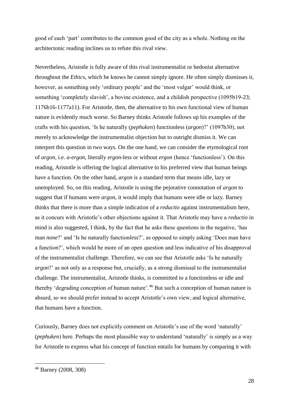good of each 'part' contributes to the common good of the city as a whole. Nothing on the architectonic reading inclines us to refute this rival view.

Nevertheless, Aristotle is fully aware of this rival instrumentalist or hedonist alternative throughout the *Ethics*, which he knows he cannot simply ignore. He often simply dismisses it, however, as something only 'ordinary people' and the 'most vulgar' would think, or something 'completely slavish', a bovine existence, and a childish perspective (1095b19-23; 1176b16-1177a11). For Aristotle, then, the alternative to his own functional view of human nature is evidently much worse. So Barney thinks Aristotle follows up his examples of the crafts with his question, 'Is he naturally (*pephuken*) functionless (*argon*)?' (1097b30), not merely to acknowledge the instrumentalist objection but to outright dismiss it. We can interpret this question in two ways. On the one hand, we can consider the etymological root of *argon*, i.e. *a-ergon*, literally *ergon*-less or without *ergon* (hence 'functionless'). On this reading, Aristotle is offering the logical alternative to his preferred view that human beings have a function. On the other hand, *argon* is a standard term that means idle, lazy or unemployed. So, on this reading, Aristotle is using the pejorative connotation of *argon* to suggest that if humans were *argon*, it would imply that humans were idle or lazy. Barney thinks that there is more than a simple indication of a *reductio* against instrumentalism here, as it concurs with Aristotle's other objections against it. That Aristotle may have a *reductio* in mind is also suggested, I think, by the fact that he asks these questions in the negative, 'has man *none*?' and 'Is he naturally function*less*?', as opposed to simply asking 'Does man have a function?', which would be more of an open question and less indicative of his disapproval of the instrumentalist challenge. Therefore, we can see that Aristotle asks 'Is he naturally *argon*?' as not only as a response but, crucially, as a strong dismissal to the instrumentalist challenge. The instrumentalist, Aristotle thinks, is committed to a functionless or idle and thereby 'degrading conception of human nature'.<sup>46</sup> But such a conception of human nature is absurd, so we should prefer instead to accept Aristotle's own view, and logical alternative, that humans have a function.

Curiously, Barney does not explicitly comment on Aristotle's use of the word 'naturally' (*pephuken*) here. Perhaps the most plausible way to understand 'naturally' is simply as a way for Aristotle to express what his concept of function entails for humans by comparing it with

<sup>46</sup> Barney (2008, 308)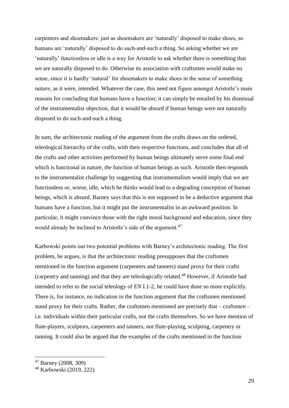carpenters and shoemakers: just as shoemakers are 'naturally' disposed to make shoes, so humans are 'naturally' disposed to do such-and-such a thing. So asking whether we are 'naturally' functionless or idle is a way for Aristotle to ask whether there is something that we are naturally disposed to do. Otherwise its association with craftsmen would make no sense, since it is hardly 'natural' for shoemakers to make shoes in the sense of something *nature*, as it were, intended. Whatever the case, this need not figure amongst Aristotle's main reasons for concluding that humans have a function; it can simply be entailed by his dismissal of the instrumentalist objection, that it would be absurd if human beings were not naturally disposed to do such-and-such a thing.

In sum, the architectonic reading of the argument from the crafts draws on the ordered, teleological hierarchy of the crafts, with their respective functions, and concludes that all of the crafts and other activities performed by human beings ultimately serve some final end which is functional in nature, *the* function of human beings as such. Aristotle then responds to the instrumentalist challenge by suggesting that instrumentalism would imply that we are functionless or, worse, idle, which he thinks would lead to a degrading conception of human beings, which is absurd. Barney says that this is not supposed to be a deductive argument that humans have a function, but it might put the instrumentalist in an awkward position. In particular, it might convince those with the right moral background and education, since they would already be inclined to Aristotle's side of the argument.<sup>47</sup>

Karbowski points out two potential problems with Barney's architectonic reading. The first problem, he argues, is that the architectonic reading presupposes that the craftsmen mentioned in the function argument (carpenters and tanners) stand proxy for their crafts (carpentry and tanning) and that they are teleologically related.<sup>48</sup> However, if Aristotle had intended to refer to the social teleology of *EN* I.1-2, he could have done so more explicitly. There is, for instance, no indication in the function argument that the craftsmen mentioned stand proxy for their crafts. Rather, the craftsmen mentioned are precisely that – crafts*men* – i.e. individuals within their particular crafts, not the crafts themselves. So we have mention of flute-players, sculptors, carpenters and tanners, not flute-playing, sculpting, carpentry or tanning. It could also be argued that the examples of the crafts mentioned in the function

<sup>47</sup> Barney (2008, 309)

<sup>48</sup> Karbowski (2019, 222)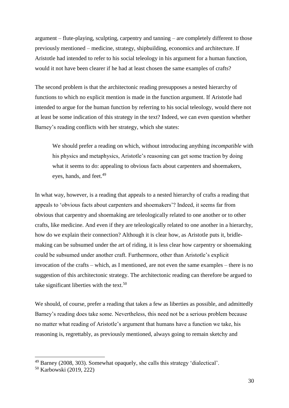argument – flute-playing, sculpting, carpentry and tanning – are completely different to those previously mentioned – medicine, strategy, shipbuilding, economics and architecture. If Aristotle had intended to refer to his social teleology in his argument for a human function, would it not have been clearer if he had at least chosen the same examples of crafts?

The second problem is that the architectonic reading presupposes a nested hierarchy of functions to which no explicit mention is made in the function argument. If Aristotle had intended to argue for the human function by referring to his social teleology, would there not at least be some indication of this strategy in the text? Indeed, we can even question whether Barney's reading conflicts with her strategy, which she states:

We should prefer a reading on which, without introducing anything *incompatible* with his physics and metaphysics, Aristotle's reasoning can get some traction by doing what it seems to do: appealing to obvious facts about carpenters and shoemakers, eyes, hands, and feet.<sup>49</sup>

In what way, however, is a reading that appeals to a nested hierarchy of crafts a reading that appeals to 'obvious facts about carpenters and shoemakers'? Indeed, it seems far from obvious that carpentry and shoemaking are teleologically related to one another or to other crafts, like medicine. And even if they are teleologically related to one another in a hierarchy, how do we explain their connection? Although it is clear how, as Aristotle puts it, bridlemaking can be subsumed under the art of riding, it is less clear how carpentry or shoemaking could be subsumed under another craft. Furthermore, other than Aristotle's explicit invocation of the crafts – which, as I mentioned, are not even the same examples – there is no suggestion of this architectonic strategy. The architectonic reading can therefore be argued to take significant liberties with the text.<sup>50</sup>

We should, of course, prefer a reading that takes a few as liberties as possible, and admittedly Barney's reading does take some. Nevertheless, this need not be a serious problem because no matter what reading of Aristotle's argument that humans have a function we take, his reasoning is, regrettably, as previously mentioned, always going to remain sketchy and

<sup>49</sup> Barney (2008, 303). Somewhat opaquely, she calls this strategy 'dialectical'.

<sup>50</sup> Karbowski (2019, 222)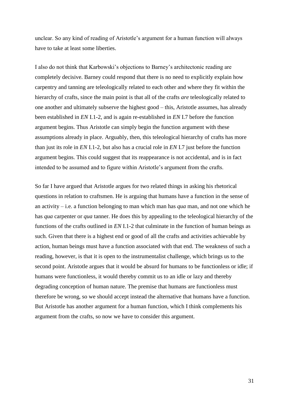unclear. So any kind of reading of Aristotle's argument for a human function will always have to take at least some liberties.

I also do not think that Karbowski's objections to Barney's architectonic reading are completely decisive. Barney could respond that there is no need to explicitly explain how carpentry and tanning are teleologically related to each other and where they fit within the hierarchy of crafts, since the main point is that all of the crafts *are* teleologically related to one another and ultimately subserve the highest good – this, Aristotle assumes, has already been established in *EN* I.1-2, and is again re-established in *EN* I.7 before the function argument begins. Thus Aristotle can simply begin the function argument with these assumptions already in place. Arguably, then, this teleological hierarchy of crafts has more than just its role in *EN* I.1-2, but also has a crucial role in *EN* I.7 just before the function argument begins. This could suggest that its reappearance is not accidental, and is in fact intended to be assumed and to figure within Aristotle's argument from the crafts.

So far I have argued that Aristotle argues for two related things in asking his rhetorical questions in relation to craftsmen. He is arguing that humans have a function in the sense of an activity – i.e. a function belonging to man which man has *qua* man, and not one which he has *qua* carpenter or *qua* tanner. He does this by appealing to the teleological hierarchy of the functions of the crafts outlined in *EN* I.1-2 that culminate in the function of human beings as such. Given that there is a highest end or good of all the crafts and activities achievable by action, human beings must have a function associated with that end. The weakness of such a reading, however, is that it is open to the instrumentalist challenge, which brings us to the second point. Aristotle argues that it would be absurd for humans to be functionless or idle; if humans were functionless, it would thereby commit us to an idle or lazy and thereby degrading conception of human nature. The premise that humans are functionless must therefore be wrong, so we should accept instead the alternative that humans have a function. But Aristotle has another argument for a human function, which I think complements his argument from the crafts, so now we have to consider this argument.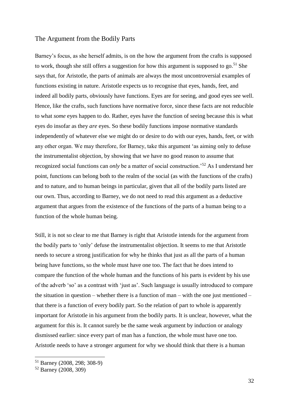#### <span id="page-31-0"></span>The Argument from the Bodily Parts

Barney's focus, as she herself admits, is on the how the argument from the crafts is supposed to work, though she still offers a suggestion for how this argument is supposed to go.<sup>51</sup> She says that, for Aristotle, the parts of animals are always the most uncontroversial examples of functions existing in nature. Aristotle expects us to recognise that eyes, hands, feet, and indeed all bodily parts, obviously have functions. Eyes are for seeing, and good eyes see well. Hence, like the crafts, such functions have normative force, since these facts are not reducible to what *some* eyes happen to do. Rather, eyes have the function of seeing because this is what eyes do insofar as they *are* eyes. So these bodily functions impose normative standards independently of whatever else we might do or desire to do with our eyes, hands, feet, or with any other organ. We may therefore, for Barney, take this argument 'as aiming only to defuse the instrumentalist objection, by showing that we have no good reason to assume that recognized social functions can *only* be a matter of social construction.'<sup>52</sup> As I understand her point, functions can belong both to the realm of the social (as with the functions of the crafts) and to nature, and to human beings in particular, given that all of the bodily parts listed are our own. Thus, according to Barney, we do not need to read this argument as a deductive argument that argues from the existence of the functions of the parts of a human being to a function of the whole human being.

Still, it is not so clear to me that Barney is right that Aristotle intends for the argument from the bodily parts to 'only' defuse the instrumentalist objection. It seems to me that Aristotle needs to secure a strong justification for why he thinks that just as all the parts of a human being have functions, so the whole must have one too. The fact that he does intend to compare the function of the whole human and the functions of his parts is evident by his use of the adverb 'so' as a contrast with 'just as'. Such language is usually introduced to compare the situation in question – whether there is a function of man – with the one just mentioned – that there is a function of every bodily part. So the relation of part to whole is apparently important for Aristotle in his argument from the bodily parts. It is unclear, however, what the argument for this is. It cannot surely be the same weak argument by induction or analogy dismissed earlier: since every part of man has a function, the whole must have one too. Aristotle needs to have a stronger argument for why we should think that there is a human

<sup>51</sup> Barney (2008, 298; 308-9)

<sup>52</sup> Barney (2008, 309)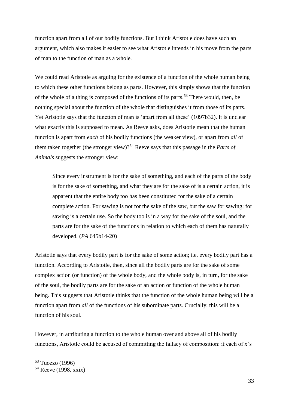function apart from all of our bodily functions. But I think Aristotle does have such an argument, which also makes it easier to see what Aristotle intends in his move from the parts of man to the function of man as a whole.

We could read Aristotle as arguing for the existence of a function of the whole human being to which these other functions belong as parts. However, this simply shows that the function of the whole of a thing is composed of the functions of its parts.<sup>53</sup> There would, then, be nothing special about the function of the whole that distinguishes it from those of its parts. Yet Aristotle says that the function of man is 'apart from all these' (1097b32). It is unclear what exactly this is supposed to mean. As Reeve asks, does Aristotle mean that the human function is apart from *each* of his bodily functions (the weaker view), or apart from *all* of them taken together (the stronger view)?<sup>54</sup> Reeve says that this passage in the *Parts of Animals* suggests the stronger view:

Since every instrument is for the sake of something, and each of the parts of the body is for the sake of something, and what they are for the sake of is a certain action, it is apparent that the entire body too has been constituted for the sake of a certain complete action. For sawing is not for the sake of the saw, but the saw for sawing; for sawing is a certain use. So the body too is in a way for the sake of the soul, and the parts are for the sake of the functions in relation to which each of them has naturally developed. (*PA* 645b14-20)

Aristotle says that every bodily part is for the sake of some action; i.e. every bodily part has a function. According to Aristotle, then, since all the bodily parts are for the sake of some complex action (or function) of the whole body, and the whole body is, in turn, for the sake of the soul, the bodily parts are for the sake of an action or function of the whole human being. This suggests that Aristotle thinks that the function of the whole human being will be a function apart from *all* of the functions of his subordinate parts. Crucially, this will be a function of his soul.

However, in attributing a function to the whole human over and above all of his bodily functions, Aristotle could be accused of committing the fallacy of composition: if each of x's

<sup>53</sup> Tuozzo (1996)

 $54$  Reeve (1998, xxix)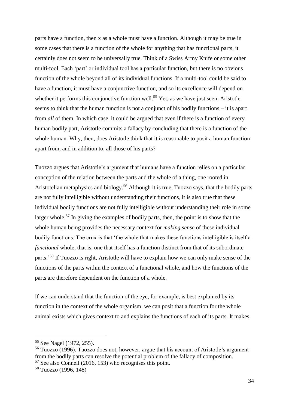parts have a function, then x as a whole must have a function. Although it may be true in some cases that there is a function of the whole for anything that has functional parts, it certainly does not seem to be universally true. Think of a Swiss Army Knife or some other multi-tool. Each 'part' or individual tool has a particular function, but there is no obvious function of the whole beyond all of its individual functions. If a multi-tool could be said to have a function, it must have a conjunctive function, and so its excellence will depend on whether it performs this conjunctive function well.<sup>55</sup> Yet, as we have just seen, Aristotle seems to think that the human function is not a conjunct of his bodily functions – it is apart from *all* of them. In which case, it could be argued that even if there is a function of every human bodily part, Aristotle commits a fallacy by concluding that there is a function of the whole human. Why, then, does Aristotle think that it is reasonable to posit a human function apart from, and in addition to, all those of his parts?

Tuozzo argues that Aristotle's argument that humans have a function relies on a particular conception of the relation between the parts and the whole of a thing, one rooted in Aristotelian metaphysics and biology.<sup>56</sup> Although it is true, Tuozzo says, that the bodily parts are not fully intelligible without understanding their functions, it is also true that these individual bodily functions are not fully intelligible without understanding their role in some larger whole.<sup>57</sup> In giving the examples of bodily parts, then, the point is to show that the whole human being provides the necessary context for *making sense* of these individual bodily functions. The crux is that 'the whole that makes these functions intelligible is itself a *functional* whole, that is, one that itself has a function distinct from that of its subordinate parts.'<sup>58</sup> If Tuozzo is right, Aristotle will have to explain how we can only make sense of the functions of the parts within the context of a functional whole, and how the functions of the parts are therefore dependent on the function of a whole.

If we can understand that the function of the eye, for example, is best explained by its function in the context of the whole organism, we can posit that a function for the whole animal exists which gives context to and explains the functions of each of its parts. It makes

<sup>55</sup> See Nagel (1972, 255).

<sup>56</sup> Tuozzo (1996). Tuozzo does not, however, argue that his account of Aristotle's argument from the bodily parts can resolve the potential problem of the fallacy of composition. <sup>57</sup> See also Connell (2016, 153) who recognises this point.

<sup>58</sup> Tuozzo (1996, 148)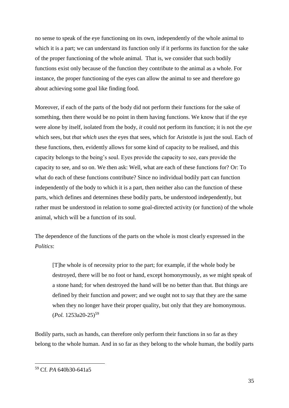no sense to speak of the eye functioning on its own, independently of the whole animal to which it is a part; we can understand its function only if it performs its function for the sake of the proper functioning of the whole animal. That is, we consider that such bodily functions exist only because of the function they contribute to the animal as a whole. For instance, the proper functioning of the eyes can allow the animal to see and therefore go about achieving some goal like finding food.

Moreover, if each of the parts of the body did not perform their functions for the sake of something, then there would be no point in them having functions. We know that if the eye were alone by itself, isolated from the body, *it* could not perform its function; it is not the *eye* which sees, but *that which uses* the eyes that sees, which for Aristotle is just the soul. Each of these functions, then, evidently allows for some kind of capacity to be realised, and this capacity belongs to the being's soul. Eyes provide the capacity to see, ears provide the capacity to see, and so on. We then ask: Well, what are each of these functions for? Or: To what do each of these functions contribute? Since no individual bodily part can function independently of the body to which it is a part, then neither also can the function of these parts, which defines and determines these bodily parts, be understood independently, but rather must be understood in relation to some goal-directed activity (or function) of the whole animal, which will be a function of its soul.

The dependence of the functions of the parts on the whole is most clearly expressed in the *Politics*:

[T]he whole is of necessity prior to the part; for example, if the whole body be destroyed, there will be no foot or hand, except homonymously, as we might speak of a stone hand; for when destroyed the hand will be no better than that. But things are defined by their function and power; and we ought not to say that they are the same when they no longer have their proper quality, but only that they are homonymous. (*Pol.* 1253a20-25)<sup>59</sup>

Bodily parts, such as hands, can therefore only perform their functions in so far as they belong to the whole human. And in so far as they belong to the whole human, the bodily parts

<sup>59</sup> Cf. *PA* 640b30-641a5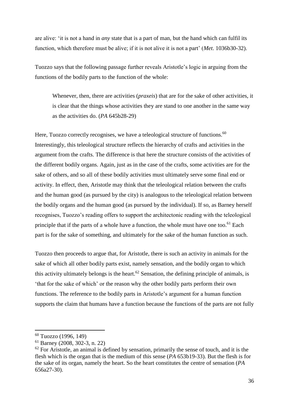are alive: 'it is not a hand in *any* state that is a part of man, but the hand which can fulfil its function, which therefore must be alive; if it is not alive it is not a part' (*Met*. 1036b30-32).

Tuozzo says that the following passage further reveals Aristotle's logic in arguing from the functions of the bodily parts to the function of the whole:

Whenever, then, there are activities (*praxeis*) that are for the sake of other activities, it is clear that the things whose activities they are stand to one another in the same way as the activities do. (*PA* 645b28-29)

Here, Tuozzo correctly recognises, we have a teleological structure of functions.<sup>60</sup> Interestingly, this teleological structure reflects the hierarchy of crafts and activities in the argument from the crafts. The difference is that here the structure consists of the activities of the different bodily organs. Again, just as in the case of the crafts, some activities are for the sake of others, and so all of these bodily activities must ultimately serve some final end or activity. In effect, then, Aristotle may think that the teleological relation between the crafts and the human good (as pursued by the city) is analogous to the teleological relation between the bodily organs and the human good (as pursued by the individual). If so, as Barney herself recognises, Tuozzo's reading offers to support the architectonic reading with the teleological principle that if the parts of a whole have a function, the whole must have one too.<sup>61</sup> Each part is for the sake of something, and ultimately for the sake of the human function as such.

Tuozzo then proceeds to argue that, for Aristotle, there is such an activity in animals for the sake of which all other bodily parts exist, namely sensation, and the bodily organ to which this activity ultimately belongs is the heart.<sup>62</sup> Sensation, the defining principle of animals, is 'that for the sake of which' or the reason why the other bodily parts perform their own functions. The reference to the bodily parts in Aristotle's argument for a human function supports the claim that humans have a function because the functions of the parts are not fully

<sup>60</sup> Tuozzo (1996, 149)

<sup>61</sup> Barney (2008, 302-3, n. 22)

 $62$  For Aristotle, an animal is defined by sensation, primarily the sense of touch, and it is the flesh which is the organ that is the medium of this sense (*PA* 653b19-33). But the flesh is for the sake of its organ, namely the heart. So the heart constitutes the centre of sensation (*PA*  656a27-30).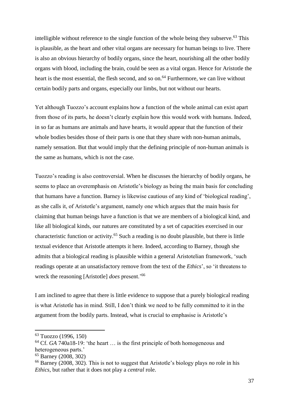intelligible without reference to the single function of the whole being they subserve.<sup>63</sup> This is plausible, as the heart and other vital organs are necessary for human beings to live. There is also an obvious hierarchy of bodily organs, since the heart, nourishing all the other bodily organs with blood, including the brain, could be seen as a vital organ. Hence for Aristotle the heart is the most essential, the flesh second, and so on.<sup>64</sup> Furthermore, we can live without certain bodily parts and organs, especially our limbs, but not without our hearts.

Yet although Tuozzo's account explains how a function of the whole animal can exist apart from those of its parts, he doesn't clearly explain how this would work with humans. Indeed, in so far as humans are animals and have hearts, it would appear that the function of their whole bodies besides those of their parts is one that they share with non-human animals, namely sensation. But that would imply that the defining principle of non-human animals is the same as humans, which is not the case.

Tuozzo's reading is also controversial. When he discusses the hierarchy of bodily organs, he seems to place an overemphasis on Aristotle's biology as being the main basis for concluding that humans have a function. Barney is likewise cautious of any kind of 'biological reading', as she calls it, of Aristotle's argument, namely one which argues that the main basis for claiming that human beings have a function is that we are members of a biological kind, and like all biological kinds, our natures are constituted by a set of capacities exercised in our characteristic function or activity.<sup>65</sup> Such a reading is no doubt plausible, but there is little textual evidence that Aristotle attempts it here. Indeed, according to Barney, though she admits that a biological reading is plausible within a general Aristotelian framework, 'such readings operate at an unsatisfactory remove from the text of the *Ethics*', so 'it threatens to wreck the reasoning [Aristotle] *does* present.'<sup>66</sup>

I am inclined to agree that there is little evidence to suppose that a purely biological reading is what Aristotle has in mind. Still, I don't think we need to be fully committed to it in the argument from the bodily parts. Instead, what is crucial to emphasise is Aristotle's

<sup>63</sup> Tuozzo (1996, 150)

<sup>64</sup> Cf. *GA* 740a18-19: 'the heart … is the first principle of both homogeneous and heterogeneous parts.'

<sup>65</sup> Barney (2008, 302)

<sup>66</sup> Barney (2008, 302). This is not to suggest that Aristotle's biology plays *no* role in his *Ethics*, but rather that it does not play a *central* role.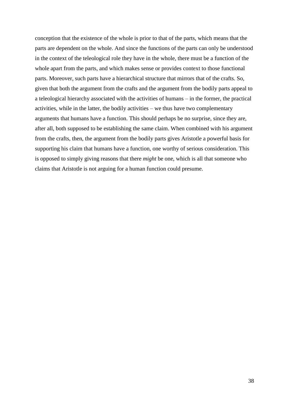conception that the existence of the whole is prior to that of the parts, which means that the parts are dependent on the whole. And since the functions of the parts can only be understood in the context of the teleological role they have in the whole, there must be a function of the whole apart from the parts, and which makes sense or provides context to those functional parts. Moreover, such parts have a hierarchical structure that mirrors that of the crafts. So, given that both the argument from the crafts and the argument from the bodily parts appeal to a teleological hierarchy associated with the activities of humans – in the former, the practical activities, while in the latter, the bodily activities – we thus have two complementary arguments that humans have a function. This should perhaps be no surprise, since they are, after all, both supposed to be establishing the same claim. When combined with his argument from the crafts, then, the argument from the bodily parts gives Aristotle a powerful basis for supporting his claim that humans have a function, one worthy of serious consideration. This is opposed to simply giving reasons that there *might* be one, which is all that someone who claims that Aristotle is not arguing for a human function could presume.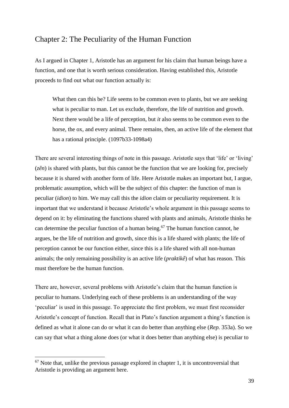## Chapter 2: The Peculiarity of the Human Function

As I argued in Chapter 1, Aristotle has an argument for his claim that human beings have a function, and one that is worth serious consideration. Having established this, Aristotle proceeds to find out what our function actually is:

What then can this be? Life seems to be common even to plants, but we are seeking what is peculiar to man. Let us exclude, therefore, the life of nutrition and growth. Next there would be a life of perception, but *it* also seems to be common even to the horse, the ox, and every animal. There remains, then, an active life of the element that has a rational principle. (1097b33-1098a4)

There are several interesting things of note in this passage. Aristotle says that 'life' or 'living' (*zên*) is shared with plants, but this cannot be the function that we are looking for, precisely because it is shared with another form of life. Here Aristotle makes an important but, I argue, problematic assumption, which will be the subject of this chapter: the function of man is peculiar (*idion*) to him. We may call this the *idion* claim or peculiarity requirement. It is important that we understand it because Aristotle's whole argument in this passage seems to depend on it: by eliminating the functions shared with plants and animals, Aristotle thinks he can determine the peculiar function of a human being. <sup>67</sup> The human function cannot, he argues, be the life of nutrition and growth, since this is a life shared with plants; the life of perception cannot be our function either, since this is a life shared with all non-human animals; the only remaining possibility is an active life (*praktikê*) of what has reason. This must therefore be the human function.

There are, however, several problems with Aristotle's claim that the human function is peculiar to humans. Underlying each of these problems is an understanding of the way 'peculiar' is used in this passage. To appreciate the first problem, we must first reconsider Aristotle's concept of function. Recall that in Plato's function argument a thing's function is defined as what it alone can do or what it can do better than anything else (*Rep.* 353a). So we can say that what a thing alone does (or what it does better than anything else) is peculiar to

 $67$  Note that, unlike the previous passage explored in chapter 1, it is uncontroversial that Aristotle is providing an argument here.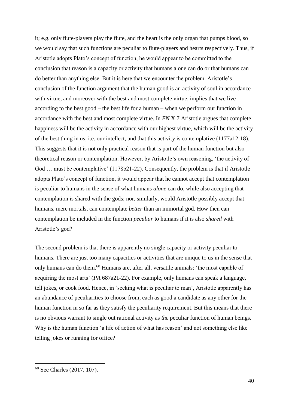it; e.g. only flute-players play the flute, and the heart is the only organ that pumps blood, so we would say that such functions are peculiar to flute-players and hearts respectively. Thus, if Aristotle adopts Plato's concept of function, he would appear to be committed to the conclusion that reason is a capacity or activity that humans alone can do or that humans can do better than anything else. But it is here that we encounter the problem. Aristotle's conclusion of the function argument that the human good is an activity of soul in accordance with virtue, and moreover with the best and most complete virtue, implies that we live according to the best good – the best life for a human – when we perform our function in accordance with the best and most complete virtue. In *EN* X.7 Aristotle argues that complete happiness will be the activity in accordance with our highest virtue, which will be the activity of the best thing in us, i.e. our intellect, and that this activity is contemplative (1177a12-18). This suggests that it is not only practical reason that is part of the human function but also theoretical reason or contemplation. However, by Aristotle's own reasoning, 'the activity of God ... must be contemplative' (1178b21-22). Consequently, the problem is that if Aristotle adopts Plato's concept of function, it would appear that he cannot accept that contemplation is peculiar to humans in the sense of what humans *alone* can do, while also accepting that contemplation is shared with the gods; nor, similarly, would Aristotle possibly accept that humans, mere mortals, can contemplate *better* than an immortal god. How then can contemplation be included in the function *peculiar* to humans if it is also *shared* with Aristotle's god?

The second problem is that there is apparently no single capacity or activity peculiar to humans. There are just too many capacities or activities that are unique to us in the sense that only humans can do them.<sup>68</sup> Humans are, after all, versatile animals: 'the most capable of acquiring the most arts' (*PA* 687a21-22). For example, only humans can speak a language, tell jokes, or cook food. Hence, in 'seeking what is peculiar to man', Aristotle apparently has an abundance of peculiarities to choose from, each as good a candidate as any other for the human function in so far as they satisfy the peculiarity requirement. But this means that there is no obvious warrant to single out rational activity as *the* peculiar function of human beings. Why is the human function 'a life of action of what has reason' and not something else like telling jokes or running for office?

<sup>68</sup> See Charles (2017, 107).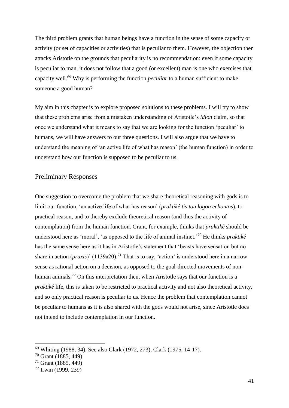The third problem grants that human beings have a function in the sense of some capacity or activity (or set of capacities or activities) that is peculiar to them. However, the objection then attacks Aristotle on the grounds that peculiarity is no recommendation: even if some capacity is peculiar to man, it does not follow that a good (or excellent) man is one who exercises that capacity well. <sup>69</sup> Why is performing the function *peculiar* to a human sufficient to make someone a good human?

My aim in this chapter is to explore proposed solutions to these problems. I will try to show that these problems arise from a mistaken understanding of Aristotle's *idion* claim, so that once we understand what it means to say that we are looking for the function 'peculiar' to humans, we will have answers to our three questions. I will also argue that we have to understand the meaning of 'an active life of what has reason' (the human function) in order to understand how our function is supposed to be peculiar to us.

#### Preliminary Responses

One suggestion to overcome the problem that we share theoretical reasoning with gods is to limit our function, 'an active life of what has reason' (*praktikê tis tou logon echontos*), to practical reason, and to thereby exclude theoretical reason (and thus the activity of contemplation) from the human function. Grant, for example, thinks that *praktikê* should be understood here as 'moral', 'as opposed to the life of animal instinct.'<sup>70</sup> He thinks *praktikê* has the same sense here as it has in Aristotle's statement that 'beasts have sensation but no share in action (*praxis*)' (1139a20).<sup>71</sup> That is to say, 'action' is understood here in a narrow sense as rational action on a decision, as opposed to the goal-directed movements of nonhuman animals.<sup>72</sup> On this interpretation then, when Aristotle says that our function is a *praktikê* life, this is taken to be restricted to practical activity and not also theoretical activity, and so only practical reason is peculiar to us. Hence the problem that contemplation cannot be peculiar to humans as it is also shared with the gods would not arise, since Aristotle does not intend to include contemplation in our function.

<sup>69</sup> Whiting (1988, 34). See also Clark (1972, 273), Clark (1975, 14-17).

<sup>70</sup> Grant (1885, 449)

<sup>71</sup> Grant (1885, 449)

<sup>72</sup> Irwin (1999, 239)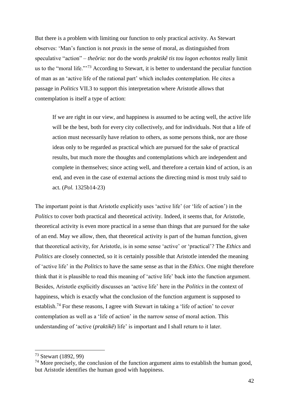But there is a problem with limiting our function to only practical activity. As Stewart observes: 'Man's function is not *praxis* in the sense of moral, as distinguished from speculative "action" – *theôria*: nor do the words *praktikê tis tou logon echontos* really limit us to the "moral life."'<sup>73</sup> According to Stewart, it is better to understand the peculiar function of man as an 'active life of the rational part' which includes contemplation. He cites a passage in *Politics* VII.3 to support this interpretation where Aristotle allows that contemplation is itself a type of action:

If we are right in our view, and happiness is assumed to be acting well, the active life will be the best, both for every city collectively, and for individuals. Not that a life of action must necessarily have relation to others, as some persons think, nor are those ideas only to be regarded as practical which are pursued for the sake of practical results, but much more the thoughts and contemplations which are independent and complete in themselves; since acting well, and therefore a certain kind of action, is an end, and even in the case of external actions the directing mind is most truly said to act. (*Pol.* 1325b14-23)

The important point is that Aristotle explicitly uses 'active life' (or 'life of action') in the *Politics* to cover both practical and theoretical activity. Indeed, it seems that, for Aristotle, theoretical activity is even more practical in a sense than things that are pursued for the sake of an end. May we allow, then, that theoretical activity is part of the human function, given that theoretical activity, for Aristotle, is in some sense 'active' or 'practical'? The *Ethics* and *Politics* are closely connected, so it is certainly possible that Aristotle intended the meaning of 'active life' in the *Politics* to have the same sense as that in the *Ethics*. One might therefore think that it is plausible to read this meaning of 'active life' back into the function argument. Besides, Aristotle explicitly discusses an 'active life' here in the *Politics* in the context of happiness, which is exactly what the conclusion of the function argument is supposed to establish.<sup>74</sup> For these reasons, I agree with Stewart in taking a 'life of action' to cover contemplation as well as a 'life of action' in the narrow sense of moral action. This understanding of 'active (*praktikê*) life' is important and I shall return to it later.

<sup>73</sup> Stewart (1892, 99)

 $74$  More precisely, the conclusion of the function argument aims to establish the human good, but Aristotle identifies the human good with happiness.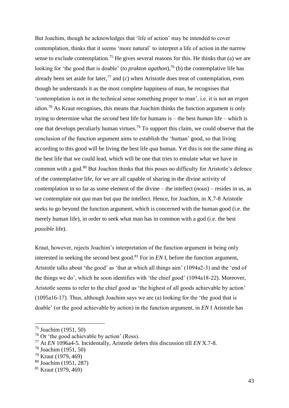But Joachim, though he acknowledges that 'life of action' may be intended to cover contemplation, thinks that it seems 'more natural' to interpret a life of action in the narrow sense to exclude contemplation.<sup>75</sup> He gives several reasons for this. He thinks that (a) we are looking for 'the good that is doable' (*to prakton agathon*), <sup>76</sup> (b) the contemplative life has already been set aside for later,<sup>77</sup> and (c) when Aristotle does treat of contemplation, even though he understands it as the most complete happiness of man, he recognises that 'contemplation is not in the technical sense something proper to man', i.e. it is not an *ergon idion*. <sup>78</sup> As Kraut recognises, this means that Joachim thinks the function argument is only trying to determine what the *second* best life for humans is – the best *human* life – which is one that develops peculiarly human virtues.<sup>79</sup> To support this claim, we could observe that the conclusion of the function argument aims to establish the 'human' good, so that living according to this good will be living the best life *qua* human. Yet this is not the same thing as the best life that we could lead, which will be one that tries to emulate what we have in common with a god.<sup>80</sup> But Joachim thinks that this poses no difficulty for Aristotle's defence of the contemplative life, for we are all capable of sharing in the divine activity of contemplation in so far as some element of the divine – the intellect (*nous*) – resides in us, as we contemplate not *qua* man but *qua* the intellect. Hence, for Joachim, in X.7-8 Aristotle seeks to go beyond the function argument, which is concerned with the human good (i.e. the merely human life), in order to seek what man has in common with a god (i.e. the best *possible* life).

Kraut, however, rejects Joachim's interpretation of the function argument in being only interested in seeking the second best good.<sup>81</sup> For in *EN* I, before the function argument, Aristotle talks about 'the good' as 'that at which all things aim' (1094a2-3) and the 'end of the things we do', which he soon identifies with 'the chief good' (1094a18-22). Moreover, Aristotle seems to refer to the chief good as 'the highest of all goods achievable by action' (1095a16-17). Thus, although Joachim says we are (a) looking for the 'the good that is doable' (or the good achievable by action) in the function argument, in *EN* I Aristotle has

<sup>75</sup> Joachim (1951, 50)

<sup>76</sup> Or 'the good achievable by action' (Ross).

<sup>77</sup> At *EN* 1096a4-5. Incidentally, Aristotle defers this discussion till *EN* X.7-8.

<sup>78</sup> Joachim (1951, 50)

<sup>79</sup> Kraut (1979, 469)

<sup>80</sup> Joachim (1951, 287)

<sup>81</sup> Kraut (1979, 469)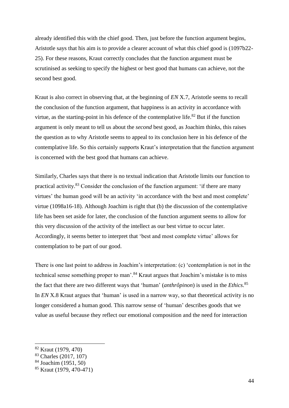already identified this with the chief good. Then, just before the function argument begins, Aristotle says that his aim is to provide a clearer account of what this chief good is (1097b22- 25). For these reasons, Kraut correctly concludes that the function argument must be scrutinised as seeking to specify the highest or best good that humans can achieve, not the second best good.

Kraut is also correct in observing that, at the beginning of *EN* X.7, Aristotle seems to recall the conclusion of the function argument, that happiness is an activity in accordance with virtue, as the starting-point in his defence of the contemplative life.<sup>82</sup> But if the function argument is only meant to tell us about the *second* best good, as Joachim thinks, this raises the question as to why Aristotle seems to appeal to its conclusion here in his defence of the contemplative life. So this certainly supports Kraut's interpretation that the function argument is concerned with the best good that humans can achieve.

Similarly, Charles says that there is no textual indication that Aristotle limits our function to practical activity.<sup>83</sup> Consider the conclusion of the function argument: 'if there are many virtues' the human good will be an activity 'in accordance with the best and most complete' virtue (1098a16-18). Although Joachim is right that (b) the discussion of the contemplative life has been set aside for later, the conclusion of the function argument seems to allow for this very discussion of the activity of the intellect as our best virtue to occur later. Accordingly, it seems better to interpret that 'best and most complete virtue' allows for contemplation to be part of our good.

There is one last point to address in Joachim's interpretation: (c) 'contemplation is not in the technical sense something proper to man'.<sup>84</sup> Kraut argues that Joachim's mistake is to miss the fact that there are two different ways that 'human' (*anthrôpinon*) is used in the *Ethics*. 85 In *EN* X.8 Kraut argues that 'human' is used in a narrow way, so that theoretical activity is no longer considered a human good. This narrow sense of 'human' describes goods that we value as useful because they reflect our emotional composition and the need for interaction

<sup>82</sup> Kraut (1979, 470)

<sup>&</sup>lt;sup>83</sup> Charles (2017, 107)

<sup>84</sup> Joachim (1951, 50)

<sup>85</sup> Kraut (1979, 470-471)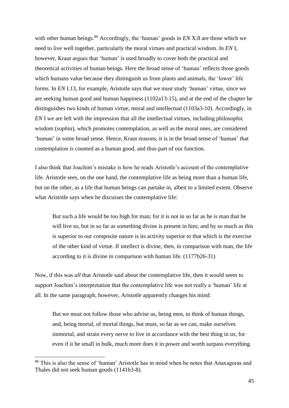with other human beings. <sup>86</sup> Accordingly, the 'human' goods in *EN* X.8 are those which we need to live well together, particularly the moral virtues and practical wisdom. In *EN* I, however, Kraut argues that 'human' is used broadly to cover both the practical and theoretical activities of human beings. Here the broad sense of 'human' reflects those goods which humans value because they distinguish us from plants and animals, the 'lower' life forms. In *EN* I.13, for example, Aristotle says that we must study 'human' virtue, since we are seeking human good and human happiness (1102a13-15), and at the end of the chapter he distinguishes two kinds of human virtue, moral and intellectual (1103a3-10). Accordingly, in *EN* I we are left with the impression that all the intellectual virtues, including philosophic wisdom (*sophia*), which promotes contemplation, as well as the moral ones, are considered 'human' in some broad sense. Hence, Kraut reasons, it is in the broad sense of 'human' that contemplation is counted as a human good, and thus part of our function.

I also think that Joachim's mistake is how he reads Aristotle's account of the contemplative life. Aristotle sees, on the one hand, the contemplative life as being more than a human life, but on the other, as a life that human beings can partake in, albeit to a limited extent. Observe what Aristotle says when he discusses the contemplative life:

But such a life would be too high for man; for it is not in so far as he is man that he will live so, but in so far as something divine is present in him; and by so much as this is superior to our composite nature is its activity superior to that which is the exercise of the other kind of virtue. If intellect is divine, then, in comparison with man, the life according to it is divine in comparison with human life. (1177b26-31)

Now, if this was *all* that Aristotle said about the contemplative life, then it would seem to support Joachim's interpretation that the contemplative life was not really a 'human' life at all. In the same paragraph, however, Aristotle apparently changes his mind:

But we must not follow those who advise us, being men, to think of human things, and, being mortal, of mortal things, but must, so far as we can, make ourselves immortal, and strain every nerve to live in accordance with the best thing in us; for even if it be small in bulk, much more does it in power and worth surpass everything.

<sup>86</sup> This is also the sense of 'human' Aristotle has in mind when he notes that Anaxagoras and Thales did not seek human goods (1141b3-8).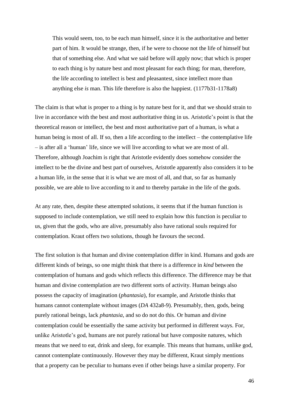This would seem, too, to be each man himself, since it is the authoritative and better part of him. It would be strange, then, if he were to choose not the life of himself but that of something else. And what we said before will apply now; that which is proper to each thing is by nature best and most pleasant for each thing; for man, therefore, the life according to intellect is best and pleasantest, since intellect more than anything else *is* man. This life therefore is also the happiest. (1177b31-1178a8)

The claim is that what is proper to a thing is by nature best for it, and that we should strain to live in accordance with the best and most authoritative thing in us. Aristotle's point is that the theoretical reason or intellect, the best and most authoritative part of a human, is what a human being is most of all. If so, then a life according to the intellect – the contemplative life – is after all a 'human' life, since we will live according to what we are most of all. Therefore, although Joachim is right that Aristotle evidently does somehow consider the intellect to be the divine and best part of ourselves, Aristotle apparently also considers it to be a human life, in the sense that it is what we are most of all, and that, so far as humanly possible, we are able to live according to it and to thereby partake in the life of the gods.

At any rate, then, despite these attempted solutions, it seems that if the human function is supposed to include contemplation, we still need to explain how this function is peculiar to us, given that the gods, who are alive, presumably also have rational souls required for contemplation. Kraut offers two solutions, though he favours the second.

The first solution is that human and divine contemplation differ in kind. Humans and gods are different kinds of beings, so one might think that there is a difference in *kind* between the contemplation of humans and gods which reflects this difference. The difference may be that human and divine contemplation are two different sorts of activity. Human beings also possess the capacity of imagination (*phantasia*), for example, and Aristotle thinks that humans cannot contemplate without images (*DA* 432a8-9). Presumably, then, gods, being purely rational beings, lack *phantasia*, and so do not do this. Or human and divine contemplation could be essentially the same activity but performed in different ways. For, unlike Aristotle's god, humans are not purely rational but have composite natures, which means that we need to eat, drink and sleep, for example. This means that humans, unlike god, cannot contemplate continuously. However they may be different, Kraut simply mentions that a property can be peculiar to humans even if other beings have a similar property. For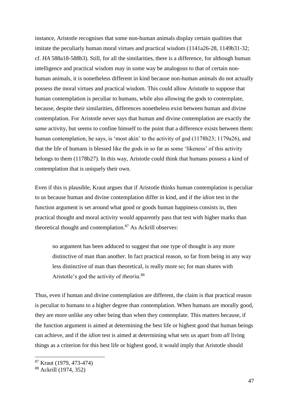instance, Aristotle recognises that some non-human animals display certain qualities that imitate the peculiarly human moral virtues and practical wisdom (1141a26-28, 1149b31-32; cf. *HA* 588a18-588b3). Still, for all the similarities, there is a difference, for although human intelligence and practical wisdom may in some way be analogous to that of certain nonhuman animals, it is nonetheless different in kind because non-human animals do not actually possess the moral virtues and practical wisdom. This could allow Aristotle to suppose that human contemplation is peculiar to humans, while also allowing the gods to contemplate, because, despite their similarities, differences nonetheless exist between human and divine contemplation. For Aristotle never says that human and divine contemplation are exactly the *same* activity, but seems to confine himself to the point that a difference exists between them: human contemplation, he says, is 'most akin' to the activity of god (1178b23; 1179a26), and that the life of humans is blessed like the gods in so far as some 'likeness' of this activity belongs to them (1178b27). In this way, Aristotle could think that humans possess a kind of contemplation that is uniquely their own.

Even if this is plausible, Kraut argues that if Aristotle thinks human contemplation is peculiar to us because human and divine contemplation differ in kind, and if the *idion* test in the function argument is set around what good or goods human happiness consists in, then practical thought and moral activity would apparently pass that test with higher marks than theoretical thought and contemplation.<sup>87</sup> As Ackrill observes:

no argument has been adduced to suggest that one type of thought is any more distinctive of man than another. In fact practical reason, so far from being in any way less distinctive of man than theoretical, is really more so; for man shares with Aristotle's god the activity of *theoria*. 88

Thus, even if human and divine contemplation are different, the claim is that practical reason is peculiar to humans to a higher degree than contemplation. When humans are morally good, they are more unlike any other being than when they contemplate. This matters because, if the function argument is aimed at determining the best life or highest good that human beings can achieve, and if the *idion* test is aimed at determining what sets us apart from *all* living things as a criterion for this best life or highest good, it would imply that Aristotle should

<sup>87</sup> Kraut (1979, 473-474)

<sup>88</sup> Ackrill (1974, 352)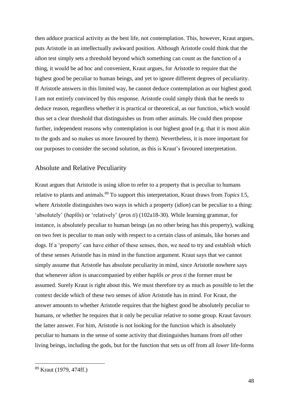then adduce practical activity as the best life, not contemplation. This, however, Kraut argues, puts Aristotle in an intellectually awkward position. Although Aristotle could think that the *idion* test simply sets a threshold beyond which something can count as the function of a thing, it would be ad hoc and convenient, Kraut argues, for Aristotle to require that the highest good be peculiar to human beings, and yet to ignore different degrees of peculiarity. If Aristotle answers in this limited way, he cannot deduce contemplation as our highest good. I am not entirely convinced by this response. Aristotle could simply think that he needs to deduce reason, regardless whether it is practical or theoretical, as our function, which would thus set a clear threshold that distinguishes us from other animals. He could then propose further, independent reasons why contemplation is our highest good (e.g. that it is most akin to the gods and so makes us more favoured by them). Nevertheless, it is more important for our purposes to consider the second solution, as this is Kraut's favoured interpretation.

#### Absolute and Relative Peculiarity

Kraut argues that Aristotle is using *idion* to refer to a property that is peculiar to humans relative to plants and animals.<sup>89</sup> To support this interpretation, Kraut draws from *Topics* I.5, where Aristotle distinguishes two ways in which a property (*idion*) can be peculiar to a thing: 'absolutely' (*haplôs*) or 'relatively' (*pros ti*) (102a18-30). While learning grammar, for instance, is absolutely peculiar to human beings (as no other being has this property), walking on two feet is peculiar to man only with respect to a certain class of animals, like horses and dogs. If a 'property' can have either of these senses, then, we need to try and establish which of these senses Aristotle has in mind in the function argument. Kraut says that we cannot simply assume that Aristotle has absolute peculiarity in mind, since Aristotle nowhere says that whenever *idion* is unaccompanied by either *haplôs or pros ti* the former must be assumed. Surely Kraut is right about this. We must therefore try as much as possible to let the context decide which of these two senses of *idion* Aristotle has in mind. For Kraut, the answer amounts to whether Aristotle requires that the highest good be absolutely peculiar to humans, or whether he requires that it only be peculiar relative to some group. Kraut favours the latter answer. For him, Aristotle is not looking for the function which is absolutely peculiar to humans in the sense of some activity that distinguishes humans from *all* other living beings, including the gods, but for the function that sets us off from all *lower* life-forms

<sup>89</sup> Kraut (1979, 474ff.)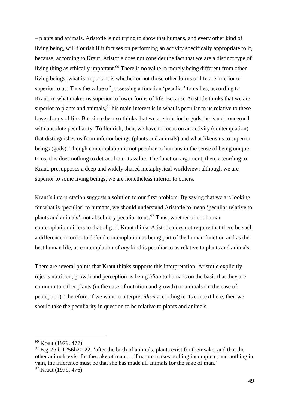– plants and animals. Aristotle is not trying to show that humans, and every other kind of living being, will flourish if it focuses on performing an activity specifically appropriate to it, because, according to Kraut, Aristotle does not consider the fact that we are a distinct type of living thing as ethically important.<sup>90</sup> There is no value in merely being different from other living beings; what is important is whether or not those other forms of life are inferior or superior to us. Thus the value of possessing a function 'peculiar' to us lies, according to Kraut, in what makes us superior to lower forms of life. Because Aristotle thinks that we are superior to plants and animals,  $91$  his main interest is in what is peculiar to us relative to these lower forms of life. But since he also thinks that we are inferior to gods, he is not concerned with absolute peculiarity. To flourish, then, we have to focus on an activity (contemplation) that distinguishes us from inferior beings (plants and animals) and what likens us to superior beings (gods). Though contemplation is not peculiar to humans in the sense of being unique to us, this does nothing to detract from its value. The function argument, then, according to Kraut, presupposes a deep and widely shared metaphysical worldview: although we are superior to some living beings, we are nonetheless inferior to others.

Kraut's interpretation suggests a solution to our first problem. By saying that we are looking for what is 'peculiar' to humans, we should understand Aristotle to mean 'peculiar relative to plants and animals', not absolutely peculiar to us.<sup>92</sup> Thus, whether or not human contemplation differs to that of god, Kraut thinks Aristotle does not require that there be such a difference in order to defend contemplation as being part of the human function and as the best human life, as contemplation of *any* kind is peculiar to us relative to plants and animals.

There are several points that Kraut thinks supports this interpretation. Aristotle explicitly rejects nutrition, growth and perception as being *idion* to humans on the basis that they are common to either plants (in the case of nutrition and growth) or animals (in the case of perception). Therefore, if we want to interpret *idion* according to its context here, then we should take the peculiarity in question to be relative to plants and animals.

<sup>90</sup> Kraut (1979, 477)

<sup>91</sup> E.g. *Pol.* 1256b20-22: 'after the birth of animals, plants exist for their sake, and that the other animals exist for the sake of man … if nature makes nothing incomplete, and nothing in vain, the inference must be that she has made all animals for the sake of man.'

<sup>92</sup> Kraut (1979, 476)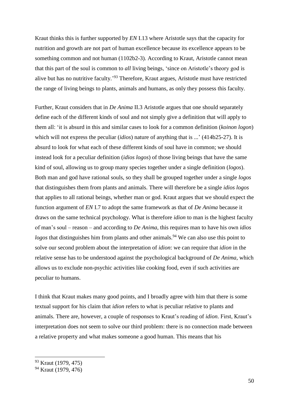Kraut thinks this is further supported by *EN* I.13 where Aristotle says that the capacity for nutrition and growth are not part of human excellence because its excellence appears to be something common and not human (1102b2-3). According to Kraut, Aristotle cannot mean that this part of the soul is common to *all* living beings, 'since on Aristotle's theory god is alive but has no nutritive faculty.'<sup>93</sup> Therefore, Kraut argues, Aristotle must have restricted the range of living beings to plants, animals and humans, as only they possess this faculty.

Further, Kraut considers that in *De Anima* II.3 Aristotle argues that one should separately define each of the different kinds of soul and not simply give a definition that will apply to them all: 'it is absurd in this and similar cases to look for a common definition (*koinon logon*) which will not express the peculiar (*idios*) nature of anything that is ...' (414b25-27). It is absurd to look for what each of these different kinds of soul have in common; we should instead look for a peculiar definition (*idios logos*) of those living beings that have the same kind of soul, allowing us to group many species together under a single definition (*logos*). Both man and god have rational souls, so they shall be grouped together under a single *logos* that distinguishes them from plants and animals. There will therefore be a single *idios logos* that applies to all rational beings, whether man or god. Kraut argues that we should expect the function argument of *EN* I.7 to adopt the same framework as that of *De Anima* because it draws on the same technical psychology. What is therefore *idion* to man is the highest faculty of man's soul – reason – and according to *De Anima*, this requires man to have his own *idios logos* that distinguishes him from plants and other animals.<sup>94</sup> We can also use this point to solve our second problem about the interpretation of *idion*: we can require that *idion* in the relative sense has to be understood against the psychological background of *De Anima*, which allows us to exclude non-psychic activities like cooking food, even if such activities are peculiar to humans.

I think that Kraut makes many good points, and I broadly agree with him that there is some textual support for his claim that *idion* refers to what is peculiar relative to plants and animals. There are, however, a couple of responses to Kraut's reading of *idion*. First, Kraut's interpretation does not seem to solve our third problem: there is no connection made between a relative property and what makes someone a good human. This means that his

<sup>93</sup> Kraut (1979, 475)

<sup>94</sup> Kraut (1979, 476)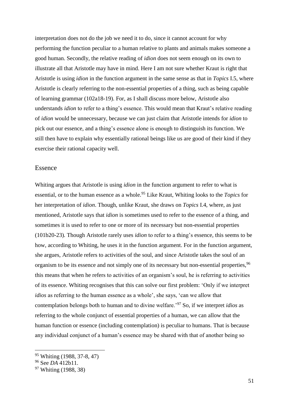interpretation does not do the job we need it to do, since it cannot account for why performing the function peculiar to a human relative to plants and animals makes someone a good human. Secondly, the relative reading of *idion* does not seem enough on its own to illustrate all that Aristotle may have in mind. Here I am not sure whether Kraut is right that Aristotle is using *idion* in the function argument in the same sense as that in *Topics* I.5, where Aristotle is clearly referring to the non-essential properties of a thing, such as being capable of learning grammar (102a18-19). For, as I shall discuss more below, Aristotle also understands *idion* to refer to a thing's essence. This would mean that Kraut's relative reading of *idion* would be unnecessary, because we can just claim that Aristotle intends for *idion* to pick out our essence, and a thing's essence alone is enough to distinguish its function. We still then have to explain why essentially rational beings like us are good of their kind if they exercise their rational capacity well.

## Essence

Whiting argues that Aristotle is using *idion* in the function argument to refer to what is essential, or to the human essence as a whole.<sup>95</sup> Like Kraut, Whiting looks to the *Topics* for her interpretation of *idion*. Though, unlike Kraut, she draws on *Topics* I.4, where, as just mentioned, Aristotle says that *idion* is sometimes used to refer to the essence of a thing, and sometimes it is used to refer to one or more of its necessary but non-essential properties (101b20-23)*.* Though Aristotle rarely uses *idion* to refer to a thing's essence, this seems to be how, according to Whiting, he uses it in the function argument. For in the function argument, she argues, Aristotle refers to activities of the soul, and since Aristotle takes the soul of an organism to be its essence and not simply one of its necessary but non-essential properties, <sup>96</sup> this means that when he refers to activities of an organism's soul, he is referring to activities of its essence. Whiting recognises that this can solve our first problem: 'Only if we interpret *idios* as referring to the human essence as a whole', she says, 'can we allow that contemplation belongs both to human and to divine welfare.'<sup>97</sup> So, if we interpret *idios* as referring to the whole conjunct of essential properties of a human, we can allow that the human function or essence (including contemplation) is peculiar to humans. That is because any individual conjunct of a human's essence may be shared with that of another being so

<sup>95</sup> Whiting (1988, 37-8, 47)

<sup>96</sup> See *DA* 412b11.

<sup>97</sup> Whiting (1988, 38)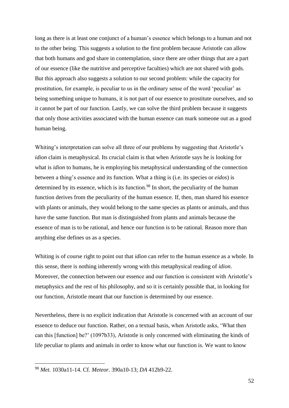long as there is at least one conjunct of a human's essence which belongs to a human and not to the other being. This suggests a solution to the first problem because Aristotle can allow that both humans and god share in contemplation, since there are other things that are a part of our essence (like the nutritive and perceptive faculties) which are not shared with gods. But this approach also suggests a solution to our second problem: while the capacity for prostitution, for example, is peculiar to us in the ordinary sense of the word 'peculiar' as being something unique to humans, it is not part of our essence to prostitute ourselves, and so it cannot be part of our function. Lastly, we can solve the third problem because it suggests that only those activities associated with the human essence can mark someone out as a good human being.

Whiting's interpretation can solve all three of our problems by suggesting that Aristotle's *idion* claim is metaphysical. Its crucial claim is that when Aristotle says he is looking for what is *idion* to humans, he is employing his metaphysical understanding of the connection between a thing's essence and its function. What a thing is (i.e. its species or *eidos*) is determined by its essence, which is its function.<sup>98</sup> In short, the peculiarity of the human function derives from the peculiarity of the human essence. If, then, man shared his essence with plants or animals, they would belong to the same species as plants or animals, and thus have the same function. But man is distinguished from plants and animals because the essence of man is to be rational, and hence our function is to be rational. Reason more than anything else defines us as a species.

Whiting is of course right to point out that *idion* can refer to the human essence as a whole. In this sense, there is nothing inherently wrong with this metaphysical reading of *idion*. Moreover, the connection between our essence and our function is consistent with Aristotle's metaphysics and the rest of his philosophy, and so it is certainly possible that, in looking for our function, Aristotle meant that our function is determined by our essence.

Nevertheless, there is no explicit indication that Aristotle is concerned with an account of our essence to deduce our function. Rather, on a textual basis, when Aristotle asks, 'What then can this [function] be?' (1097b33), Aristotle is only concerned with eliminating the kinds of life peculiar to plants and animals in order to know what our function is. We want to know

<sup>98</sup> *Met.* 1030a11-14. Cf. *Meteor.* 390a10-13; *DA* 412b9-22.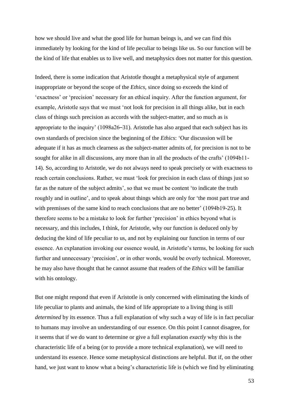how we should live and what the good life for human beings is, and we can find this immediately by looking for the kind of life peculiar to beings like us. So our function will be the kind of life that enables us to live well, and metaphysics does not matter for this question.

Indeed, there is some indication that Aristotle thought a metaphysical style of argument inappropriate or beyond the scope of the *Ethics*, since doing so exceeds the kind of 'exactness' or 'precision' necessary for an ethical inquiry. After the function argument, for example, Aristotle says that we must 'not look for precision in all things alike, but in each class of things such precision as accords with the subject-matter, and so much as is appropriate to the inquiry' (1098a26–31). Aristotle has also argued that each subject has its own standards of precision since the beginning of the *Ethics*: 'Our discussion will be adequate if it has as much clearness as the subject-matter admits of, for precision is not to be sought for alike in all discussions, any more than in all the products of the crafts' (1094b11- 14). So, according to Aristotle, we do not always need to speak precisely or with exactness to reach certain conclusions. Rather, we must 'look for precision in each class of things just so far as the nature of the subject admits', so that we must be content 'to indicate the truth roughly and in outline', and to speak about things which are only for 'the most part true and with premisses of the same kind to reach conclusions that are no better' (1094b19-25). It therefore seems to be a mistake to look for further 'precision' in ethics beyond what is necessary, and this includes, I think, for Aristotle, why our function is deduced only by deducing the kind of life peculiar to us, and not by explaining our function in terms of our essence. An explanation invoking our essence would, in Aristotle's terms, be looking for such further and unnecessary 'precision', or in other words, would be overly technical. Moreover, he may also have thought that he cannot assume that readers of the *Ethics* will be familiar with his ontology.

But one might respond that even if Aristotle is only concerned with eliminating the kinds of life peculiar to plants and animals, the kind of life appropriate to a living thing is still *determined* by its essence. Thus a full explanation of why such a way of life is in fact peculiar to humans may involve an understanding of our essence. On this point I cannot disagree, for it seems that if we do want to determine or give a full explanation *exactly* why this is the characteristic life of a being (or to provide a more technical explanation), we will need to understand its essence. Hence some metaphysical distinctions are helpful. But if, on the other hand, we just want to know what a being's characteristic life is (which we find by eliminating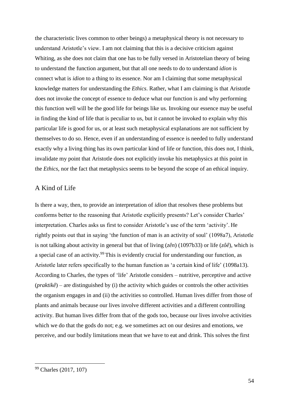the characteristic lives common to other beings) a metaphysical theory is not necessary to understand Aristotle's view. I am not claiming that this is a decisive criticism against Whiting, as she does not claim that one has to be fully versed in Aristotelian theory of being to understand the function argument, but that all one needs to do to understand *idion* is connect what is *idion* to a thing to its essence. Nor am I claiming that some metaphysical knowledge matters for understanding the *Ethics*. Rather, what I am claiming is that Aristotle does not invoke the concept of essence to deduce what our function is and why performing this function well will be the good life for beings like us. Invoking our essence may be useful in finding the kind of life that is peculiar to us, but it cannot be invoked to explain why this particular life is good for us, or at least such metaphysical explanations are not sufficient by themselves to do so. Hence, even if an understanding of essence is needed to fully understand exactly why a living thing has its own particular kind of life or function, this does not, I think, invalidate my point that Aristotle does not explicitly invoke his metaphysics at this point in the *Ethics*, nor the fact that metaphysics seems to be beyond the scope of an ethical inquiry.

## A Kind of Life

Is there a way, then, to provide an interpretation of *idion* that resolves these problems but conforms better to the reasoning that Aristotle explicitly presents? Let's consider Charles' interpretation. Charles asks us first to consider Aristotle's use of the term 'activity'. He rightly points out that in saying 'the function of man is an activity of soul' (1098a7), Aristotle is not talking about activity in general but that of living (*zên*) (1097b33) or life (*zôê*), which is a special case of an activity.<sup>99</sup> This is evidently crucial for understanding our function, as Aristotle later refers specifically to the human function as 'a certain kind of life' (1098a13). According to Charles, the types of 'life' Aristotle considers – nutritive, perceptive and active (*praktikê*) – are distinguished by (i) the activity which guides or controls the other activities the organism engages in and (ii) the activities so controlled. Human lives differ from those of plants and animals because our lives involve different activities and a different controlling activity. But human lives differ from that of the gods too, because our lives involve activities which we do that the gods do not; e.g. we sometimes act on our desires and emotions, we perceive, and our bodily limitations mean that we have to eat and drink. This solves the first

<sup>99</sup> Charles (2017, 107)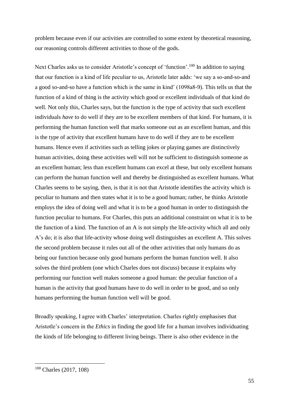problem because even if our activities are controlled to some extent by theoretical reasoning, our reasoning controls different activities to those of the gods.

Next Charles asks us to consider Aristotle's concept of 'function'.<sup>100</sup> In addition to saying that our function is a kind of life peculiar to us, Aristotle later adds: 'we say a so-and-so-and a good so-and-so have a function which is the same in kind' (1098a8-9). This tells us that the function of a kind of thing is the activity which good or excellent individuals of that kind do well. Not only this, Charles says, but the function is the type of activity that such excellent individuals *have* to do well if they are to be excellent members of that kind. For humans, it is performing the human function well that marks someone out as an excellent human, and this is the type of activity that excellent humans have to do well if they are to be excellent humans. Hence even if activities such as telling jokes or playing games are distinctively human activities, doing these activities well will not be sufficient to distinguish someone as an excellent human; less than excellent humans can excel at these, but only excellent humans can perform the human function well and thereby be distinguished as excellent humans. What Charles seems to be saying, then, is that it is not that Aristotle identifies the activity which is peculiar to humans and then states what it is to be a good human; rather, he thinks Aristotle employs the idea of doing well and what it is to be a good human in order to distinguish the function peculiar to humans. For Charles, this puts an additional constraint on what it is to be the function of a kind. The function of an A is not simply the life-activity which all and only A's do; it is also that life-activity whose doing well distinguishes an excellent A. This solves the second problem because it rules out all of the other activities that only humans do as being our function because only good humans perform the human function well. It also solves the third problem (one which Charles does not discuss) because it explains why performing our function well makes someone a good human: the peculiar function of a human is the activity that good humans have to do well in order to be good, and so only humans performing the human function well will be good.

Broadly speaking, I agree with Charles' interpretation. Charles rightly emphasises that Aristotle's concern in the *Ethics* in finding the good life for a human involves individuating the kinds of life belonging to different living beings. There is also other evidence in the

<sup>100</sup> Charles (2017, 108)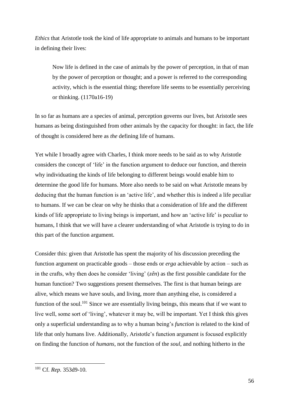*Ethics* that Aristotle took the kind of life appropriate to animals and humans to be important in defining their lives:

Now life is defined in the case of animals by the power of perception, in that of man by the power of perception or thought; and a power is referred to the corresponding activity, which is the essential thing; therefore life seems to be essentially perceiving or thinking. (1170a16-19)

In so far as humans are a species of animal, perception governs our lives, but Aristotle sees humans as being distinguished from other animals by the capacity for thought: in fact, the life of thought is considered here as *the* defining life of humans.

Yet while I broadly agree with Charles, I think more needs to be said as to why Aristotle considers the concept of 'life' in the function argument to deduce our function, and therein why individuating the kinds of life belonging to different beings would enable him to determine the good life for humans. More also needs to be said on what Aristotle means by deducing that the human function is an 'active life', and whether this is indeed a life peculiar to humans. If we can be clear on why he thinks that a consideration of life and the different kinds of life appropriate to living beings is important, and how an 'active life' is peculiar to humans, I think that we will have a clearer understanding of what Aristotle is trying to do in this part of the function argument.

Consider this: given that Aristotle has spent the majority of his discussion preceding the function argument on practicable goods – those ends or *erga* achievable by action – such as in the crafts, why then does he consider 'living' (*zên*) as the first possible candidate for the human function? Two suggestions present themselves. The first is that human beings are alive, which means we have souls, and living, more than anything else, is considered a function of the soul.<sup>101</sup> Since we are essentially living beings, this means that if we want to live well, some sort of 'living', whatever it may be, will be important. Yet I think this gives only a superficial understanding as to why a human being's *function* is related to the kind of life that only humans live. Additionally, Aristotle's function argument is focused explicitly on finding the function of *humans*, not the function of the *soul*, and nothing hitherto in the

<sup>101</sup> Cf. *Rep.* 353d9-10.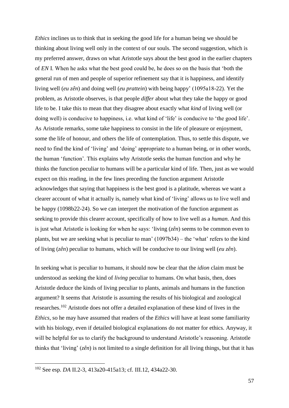*Ethics* inclines us to think that in seeking the good life for a human being we should be thinking about living well only in the context of our souls. The second suggestion, which is my preferred answer, draws on what Aristotle says about the best good in the earlier chapters of *EN* I. When he asks what the best good could be, he does so on the basis that 'both the general run of men and people of superior refinement say that it is happiness, and identify living well (*eu zên*) and doing well (*eu prattein*) with being happy' (1095a18-22). Yet the problem, as Aristotle observes, is that people *differ* about what they take the happy or good life to be. I take this to mean that they disagree about exactly what *kind* of living well (or doing well) is conducive to happiness, i.e. what kind of 'life' is conducive to 'the good life'. As Aristotle remarks, some take happiness to consist in the life of pleasure or enjoyment, some the life of honour, and others the life of contemplation. Thus, to settle this dispute, we need to find the kind of 'living' and 'doing' appropriate to a human being, or in other words, the human 'function'. This explains why Aristotle seeks the human function and why he thinks the function peculiar to humans will be a particular kind of life. Then, just as we would expect on this reading, in the few lines preceding the function argument Aristotle acknowledges that saying that happiness is the best good is a platitude, whereas we want a clearer account of what it actually is, namely what kind of 'living' allows us to live well and be happy (1098b22-24). So we can interpret the motivation of the function argument as seeking to provide this clearer account, specifically of how to live well as a *human*. And this is just what Aristotle is looking for when he says: 'living (*zên*) seems to be common even to plants, but we are seeking what is peculiar to man' (1097b34) – the 'what' refers to the kind of living (*zên*) peculiar to humans, which will be conducive to our living well (*eu zên*).

In seeking what is peculiar to humans, it should now be clear that the *idion* claim must be understood as seeking the kind of *living* peculiar to humans. On what basis, then, does Aristotle deduce the kinds of living peculiar to plants, animals and humans in the function argument? It seems that Aristotle is assuming the results of his biological and zoological researches.<sup>102</sup> Aristotle does not offer a detailed explanation of these kind of lives in the *Ethics*, so he may have assumed that readers of the *Ethics* will have at least some familiarity with his biology, even if detailed biological explanations do not matter for ethics. Anyway, it will be helpful for us to clarify the background to understand Aristotle's reasoning. Aristotle thinks that 'living' (*zên*) is not limited to a single definition for all living things, but that it has

<sup>102</sup> See esp. *DA* II.2-3, 413a20-415a13; cf. III.12, 434a22-30.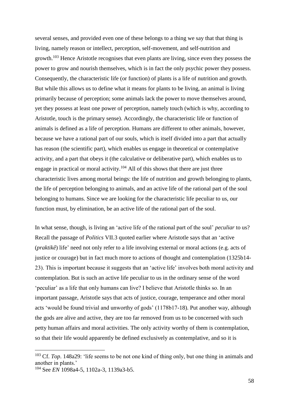several senses, and provided even one of these belongs to a thing we say that that thing is living, namely reason or intellect, perception, self-movement, and self-nutrition and growth.<sup>103</sup> Hence Aristotle recognises that even plants are living, since even they possess the power to grow and nourish themselves, which is in fact the only psychic power they possess. Consequently, the characteristic life (or function) of plants is a life of nutrition and growth. But while this allows us to define what it means for plants to be living, an animal is living primarily because of perception; some animals lack the power to move themselves around, yet they possess at least one power of perception, namely touch (which is why, according to Aristotle, touch is the primary sense). Accordingly, the characteristic life or function of animals is defined as a life of perception. Humans are different to other animals, however, because we have a rational part of our souls, which is itself divided into a part that actually has reason (the scientific part), which enables us engage in theoretical or contemplative activity, and a part that obeys it (the calculative or deliberative part), which enables us to engage in practical or moral activity.<sup>104</sup> All of this shows that there are just three characteristic lives among mortal beings: the life of nutrition and growth belonging to plants, the life of perception belonging to animals, and an active life of the rational part of the soul belonging to humans. Since we are looking for the characteristic life peculiar to us, our function must, by elimination, be an active life of the rational part of the soul.

In what sense, though, is living an 'active life of the rational part of the soul' *peculiar* to us? Recall the passage of *Politics* VII.3 quoted earlier where Aristotle says that an 'active (*praktikê*) life' need not only refer to a life involving external or moral actions (e.g. acts of justice or courage) but in fact much more to actions of thought and contemplation (1325b14- 23). This is important because it suggests that an 'active life' involves both moral activity and contemplation. But is such an active life peculiar to us in the ordinary sense of the word 'peculiar' as a life that only humans can live? I believe that Aristotle thinks so. In an important passage, Aristotle says that acts of justice, courage, temperance and other moral acts 'would be found trivial and unworthy of gods' (1178b17-18). Put another way, although the gods are alive and active, they are too far removed from us to be concerned with such petty human affairs and moral activities. The only activity worthy of them is contemplation, so that their life would apparently be defined exclusively as contemplative, and so it is

<sup>&</sup>lt;sup>103</sup> Cf. *Top*. 148a29: 'life seems to be not one kind of thing only, but one thing in animals and another in plants.'

<sup>104</sup> See *EN* 1098a4-5, 1102a-3, 1139a3-b5.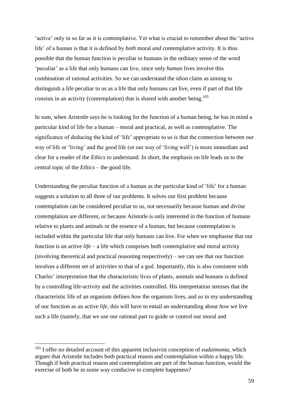'active' only in so far as it is contemplative. Yet what is crucial to remember about the 'active life' of a human is that it is defined by *both* moral *and* contemplative activity. It is thus possible that the human function is peculiar to humans in the ordinary sense of the word 'peculiar' as a life that only humans can live, since only *human* lives involve this combination of rational activities. So we can understand the *idion* claim as aiming to distinguish a life peculiar to us as a life that only humans can live, even if part of that life consists in an activity (contemplation) that is shared with another being.<sup>105</sup>

In sum, when Aristotle says he is looking for the function of a human being, he has in mind a particular kind of life for a human – moral and practical, as well as contemplative. The significance of deducing the kind of 'life' appropriate to us is that the connection between our way of life or 'living' and the good life (or our way of 'living well') is more immediate and clear for a reader of the *Ethics* to understand. In short, the emphasis on life leads us to the central topic of the *Ethics* – the good life.

Understanding the peculiar function of a human as the particular kind of 'life' for a human suggests a solution to all three of our problems. It solves our first problem because contemplation can be considered peculiar to us, not necessarily because human and divine contemplation are different, or because Aristotle is only interested in the function of humans relative to plants and animals or the essence of a human, but because contemplation is included within the particular life that only humans can live. For when we emphasise that our function is an active *life* – a life which comprises both contemplative and moral activity (involving theoretical and practical reasoning respectively) – we can see that our function involves a different set of activities to that of a god. Importantly, this is also consistent with Charles' interpretation that the characteristic lives of plants, animals and humans is defined by a controlling life-activity and the activities controlled. His interpretation stresses that the characteristic life of an organism defines *how* the organism lives, and so in my understanding of our function as an active *life*, this will have to entail an understanding about *how* we live such a life (namely, that we use our rational part to guide or control our moral and

<sup>105</sup> I offer no detailed account of this apparent inclusivist conception of *eudaimonia*, which argues that Aristotle includes both practical reason and contemplation within a happy life. Though if both practical reason and contemplation are part of the human function, would the exercise of both be in some way conducive to complete happiness?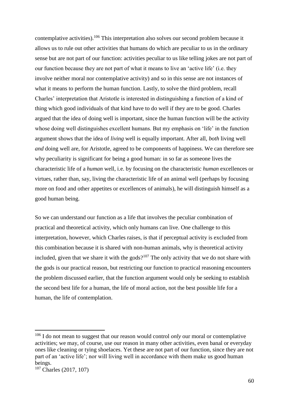contemplative activities).<sup>106</sup> This interpretation also solves our second problem because it allows us to rule out other activities that humans do which are peculiar to us in the ordinary sense but are not part of our function: activities peculiar to us like telling jokes are not part of our function because they are not part of what it means to live an 'active life' (i.e. they involve neither moral nor contemplative activity) and so in this sense are not instances of what it means to perform the human function. Lastly, to solve the third problem, recall Charles' interpretation that Aristotle is interested in distinguishing a function of a kind of thing which good individuals of that kind have to do well if they are to be good. Charles argued that the idea of doing well is important, since the human function will be the activity whose doing well distinguishes excellent humans. But my emphasis on 'life' in the function argument shows that the idea of *living* well is equally important. After all, *both* living well *and* doing well are, for Aristotle, agreed to be components of happiness. We can therefore see why peculiarity is significant for being a good human: in so far as someone lives the characteristic life of a *human* well, i.e. by focusing on the characteristic *human* excellences or virtues, rather than, say, living the characteristic life of an animal well (perhaps by focusing more on food and other appetites or excellences of animals), he will distinguish himself as a good human being.

So we can understand our function as a life that involves the peculiar combination of practical and theoretical activity, which only humans can live. One challenge to this interpretation, however, which Charles raises, is that if perceptual activity is excluded from this combination because it is shared with non-human animals, why is theoretical activity included, given that we share it with the gods?<sup>107</sup> The only activity that we do not share with the gods is our practical reason, but restricting our function to practical reasoning encounters the problem discussed earlier, that the function argument would only be seeking to establish the second best life for a human, the life of moral action, not the best possible life for a human, the life of contemplation.

<sup>106</sup> I do not mean to suggest that our reason would control *only* our moral or contemplative activities; we may, of course, use our reason in many other activities, even banal or everyday ones like cleaning or tying shoelaces. Yet these are not part of our function, since they are not part of an 'active life'; nor will living well in accordance with them make us good human beings.

<sup>&</sup>lt;sup>107</sup> Charles (2017, 107)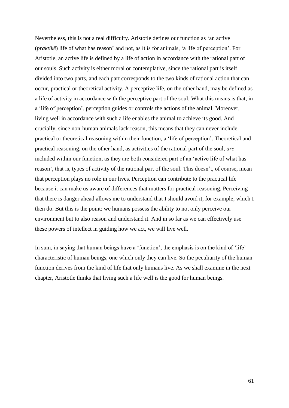Nevertheless, this is not a real difficulty. Aristotle defines our function as 'an active (*praktikê*) life of what has reason' and not, as it is for animals, 'a life of perception'. For Aristotle, an active life is defined by a life of action in accordance with the rational part of our souls. Such activity is either moral or contemplative, since the rational part is itself divided into two parts, and each part corresponds to the two kinds of rational action that can occur, practical or theoretical activity. A perceptive life, on the other hand, may be defined as a life of activity in accordance with the perceptive part of the soul. What this means is that, in a 'life of perception', perception guides or controls the actions of the animal. Moreover, living well in accordance with such a life enables the animal to achieve its good. And crucially, since non-human animals lack reason, this means that they can never include practical or theoretical reasoning within their function, a 'life of perception'. Theoretical and practical reasoning, on the other hand, as activities of the rational part of the soul, *are* included within our function, as they are both considered part of an 'active life of what has reason', that is, types of activity of the rational part of the soul. This doesn't, of course, mean that perception plays no role in our lives. Perception can contribute to the practical life because it can make us aware of differences that matters for practical reasoning. Perceiving that there is danger ahead allows me to understand that I should avoid it, for example, which I then do. But this is the point: we humans possess the ability to not only perceive our environment but to also reason and understand it. And in so far as we can effectively use these powers of intellect in guiding how we act, we will live well.

In sum, in saying that human beings have a 'function', the emphasis is on the kind of 'life' characteristic of human beings, one which only they can live. So the peculiarity of the human function derives from the kind of life that only humans live. As we shall examine in the next chapter, Aristotle thinks that living such a life well is the good for human beings.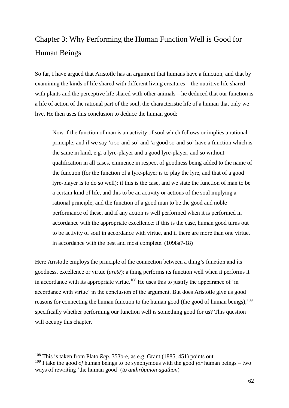# Chapter 3: Why Performing the Human Function Well is Good for Human Beings

So far, I have argued that Aristotle has an argument that humans have a function, and that by examining the kinds of life shared with different living creatures – the nutritive life shared with plants and the perceptive life shared with other animals – he deduced that our function is a life of action of the rational part of the soul, the characteristic life of a human that only we live. He then uses this conclusion to deduce the human good:

Now if the function of man is an activity of soul which follows or implies a rational principle, and if we say 'a so-and-so' and 'a good so-and-so' have a function which is the same in kind, e.g. a lyre-player and a good lyre-player, and so without qualification in all cases, eminence in respect of goodness being added to the name of the function (for the function of a lyre-player is to play the lyre, and that of a good lyre-player is to do so well): if this is the case, and we state the function of man to be a certain kind of life, and this to be an activity or actions of the soul implying a rational principle, and the function of a good man to be the good and noble performance of these, and if any action is well performed when it is performed in accordance with the appropriate excellence: if this is the case, human good turns out to be activity of soul in accordance with virtue, and if there are more than one virtue, in accordance with the best and most complete. (1098a7-18)

Here Aristotle employs the principle of the connection between a thing's function and its goodness, excellence or virtue (*aretê*): a thing performs its function well when it performs it in accordance with its appropriate virtue.<sup>108</sup> He uses this to justify the appearance of 'in accordance with virtue' in the conclusion of the argument. But does Aristotle give us good reasons for connecting the human function to the human good (the good of human beings), <sup>109</sup> specifically whether performing our function well is something good for us? This question will occupy this chapter.

<sup>&</sup>lt;sup>108</sup> This is taken from Plato *Rep.* 353b-e, as e.g. Grant (1885, 451) points out. <sup>109</sup> I take the good *of* human beings to be synonymous with the good *for* human beings – two ways of rewriting 'the human good' (*to anthrôpinon agathon*)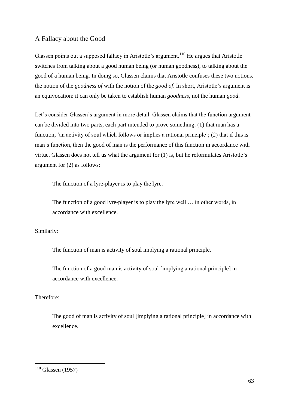## A Fallacy about the Good

Glassen points out a supposed fallacy in Aristotle's argument.<sup>110</sup> He argues that Aristotle switches from talking about a good human being (or human goodness), to talking about the good of a human being. In doing so, Glassen claims that Aristotle confuses these two notions, the notion of the *goodness of* with the notion of the *good of*. In short, Aristotle's argument is an equivocation: it can only be taken to establish human *goodness*, not the human *good*.

Let's consider Glassen's argument in more detail. Glassen claims that the function argument can be divided into two parts, each part intended to prove something: (1) that man has a function, 'an activity of soul which follows or implies a rational principle'; (2) that if this is man's function, then the good of man is the performance of this function in accordance with virtue. Glassen does not tell us what the argument for (1) is, but he reformulates Aristotle's argument for (2) as follows:

The function of a lyre-player is to play the lyre.

The function of a good lyre-player is to play the lyre well … in other words, in accordance with excellence.

#### Similarly:

The function of man is activity of soul implying a rational principle.

The function of a good man is activity of soul [implying a rational principle] in accordance with excellence.

### Therefore:

The good of man is activity of soul [implying a rational principle] in accordance with excellence.

 $110$  Glassen (1957)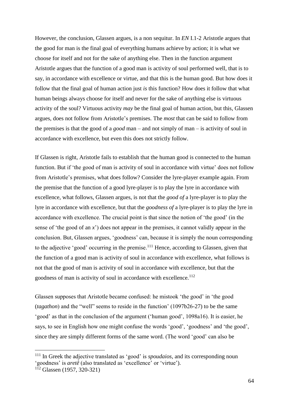However, the conclusion, Glassen argues, is a non sequitur. In *EN* I.1-2 Aristotle argues that the good for man is the final goal of everything humans achieve by action; it is what we choose for itself and not for the sake of anything else. Then in the function argument Aristotle argues that the function of a good man is activity of soul performed well, that is to say, in accordance with excellence or virtue, and that this is the human good. But how does it follow that the final goal of human action just *is* this function? How does it follow that what human beings always choose for itself and never for the sake of anything else is virtuous activity of the soul? Virtuous activity *may* be the final goal of human action, but this, Glassen argues, does not follow from Aristotle's premises. The *most* that can be said to follow from the premises is that the good of a *good* man – and not simply of man – is activity of soul in accordance with excellence, but even this does not strictly follow.

If Glassen is right, Aristotle fails to establish that the human good is connected to the human function. But if 'the good of man is activity of soul in accordance with virtue' does not follow from Aristotle's premises, what does follow? Consider the lyre-player example again. From the premise that the function of a good lyre-player is to play the lyre in accordance with excellence, what follows, Glassen argues, is not that the *good of* a lyre-player is to play the lyre in accordance with excellence, but that the *goodness of* a lyre-player is to play the lyre in accordance with excellence. The crucial point is that since the notion of 'the good' (in the sense of 'the good of an *x*') does not appear in the premises, it cannot validly appear in the conclusion. But, Glassen argues, 'goodness' can, because it is simply the noun corresponding to the adjective 'good' occurring in the premise.<sup>111</sup> Hence, according to Glassen, given that the function of a good man is activity of soul in accordance with excellence, what follows is not that the good of man is activity of soul in accordance with excellence, but that the goodness of man is activity of soul in accordance with excellence.<sup>112</sup>

Glassen supposes that Aristotle became confused: he mistook 'the good' in 'the good (*tagathon*) and the "well" seems to reside in the function' (1097b26-27) to be the same 'good' as that in the conclusion of the argument ('human good', 1098a16). It is easier, he says, to see in English how one might confuse the words 'good', 'goodness' and 'the good', since they are simply different forms of the same word. (The word 'good' can also be

<sup>&</sup>lt;sup>111</sup> In Greek the adjective translated as 'good' is *spoudaios*, and its corresponding noun 'goodness' is *aretê* (also translated as 'excellence' or 'virtue').

<sup>112</sup> Glassen (1957, 320-321)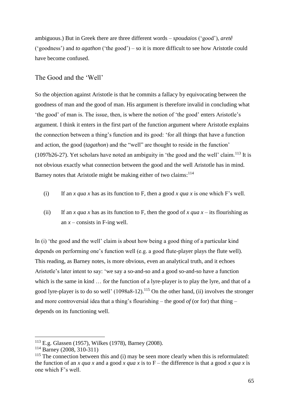ambiguous.) But in Greek there are three different words – *spoudaios* ('good'), *aretê* ('goodness') and *to agathon* ('the good') – so it is more difficult to see how Aristotle could have become confused.

## The Good and the 'Well'

So the objection against Aristotle is that he commits a fallacy by equivocating between the goodness of man and the good of man. His argument is therefore invalid in concluding what 'the good' of man is. The issue, then, is where the notion of 'the good' enters Aristotle's argument. I think it enters in the first part of the function argument where Aristotle explains the connection between a thing's function and its good: 'for all things that have a function and action, the good (*tagathon*) and the "well" are thought to reside in the function' (1097b26-27). Yet scholars have noted an ambiguity in 'the good and the well' claim.<sup>113</sup> It is not obvious exactly what connection between the good and the well Aristotle has in mind. Barney notes that Aristotle might be making either of two claims:<sup>114</sup>

- (i) If an *x qua x* has as its function to F, then a good *x qua x* is one which F's well.
- (ii) If an *x qua x* has as its function to F, then the good of *x qua x* its flourishing as an  $x$  – consists in F-ing well.

In (i) 'the good and the well' claim is about how being a good thing of a particular kind depends on performing one's function well (e.g. a good flute-player plays the flute well). This reading, as Barney notes, is more obvious, even an analytical truth, and it echoes Aristotle's later intent to say: 'we say a so-and-so and a good so-and-so have a function which is the same in kind … for the function of a lyre-player is to play the lyre, and that of a good lyre-player is to do so well' (1098a8-12).<sup>115</sup> On the other hand, (ii) involves the stronger and more controversial idea that a thing's flourishing – the good  $of$  (or for) that thing – depends on its functioning well.

<sup>113</sup> E.g. Glassen (1957), Wilkes (1978), Barney (2008).

<sup>114</sup> Barney (2008, 310-311)

 $115$  The connection between this and (i) may be seen more clearly when this is reformulated: the function of an *x qua x* and a good *x qua x* is to F – the difference is that a good *x qua x* is one which F's well.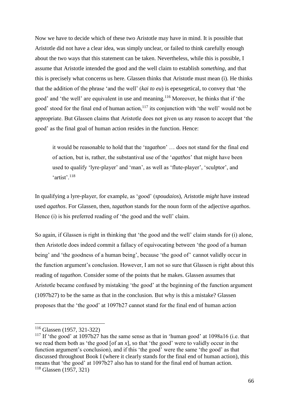Now we have to decide which of these two Aristotle may have in mind. It is possible that Aristotle did not have a clear idea, was simply unclear, or failed to think carefully enough about the two ways that this statement can be taken. Nevertheless, while this is possible, I assume that Aristotle intended the good and the well claim to establish *something*, and that this is precisely what concerns us here. Glassen thinks that Aristotle must mean (i). He thinks that the addition of the phrase 'and the well' (*kai to eu*) is epexegetical, to convey that 'the good' and 'the well' are equivalent in use and meaning.<sup>116</sup> Moreover, he thinks that if 'the good' stood for the final end of human action, $117$  its conjunction with 'the well' would not be appropriate. But Glassen claims that Aristotle does not given us any reason to accept that 'the good' as the final goal of human action resides in the function. Hence:

it would be reasonable to hold that the '*tagathon*' … does not stand for the final end of action, but is, rather, the substantival use of the '*agathos*' that might have been used to qualify 'lyre-player' and 'man', as well as 'flute-player', 'sculptor', and 'artist'.<sup>118</sup>

In qualifying a lyre-player, for example, as 'good' (*spoudaios*), Aristotle *might* have instead used *agathos*. For Glassen, then, *tagathon* stands for the noun form of the adjective *agathos*. Hence (i) is his preferred reading of 'the good and the well' claim.

So again, if Glassen is right in thinking that 'the good and the well' claim stands for (i) alone, then Aristotle does indeed commit a fallacy of equivocating between 'the good of a human being' and 'the goodness of a human being', because 'the good of' cannot validly occur in the function argument's conclusion. However, I am not so sure that Glassen is right about this reading of *tagathon*. Consider some of the points that he makes. Glassen assumes that Aristotle became confused by mistaking 'the good' at the beginning of the function argument (1097b27) to be the same as that in the conclusion. But why is this a mistake? Glassen proposes that the 'the good' at 1097b27 cannot stand for the final end of human action

<sup>116</sup> Glassen (1957, 321-322)

<sup>&</sup>lt;sup>117</sup> If 'the good' at 1097b27 has the same sense as that in 'human good' at 1098a16 (i.e. that we read them both as 'the good  $\lceil \text{of an } x \rceil$ , so that 'the good' were to validly occur in the function argument's conclusion), and if this 'the good' were the same 'the good' as that discussed throughout Book I (where it clearly stands for the final end of human action), this means that 'the good' at 1097b27 also has to stand for the final end of human action. <sup>118</sup> Glassen (1957, 321)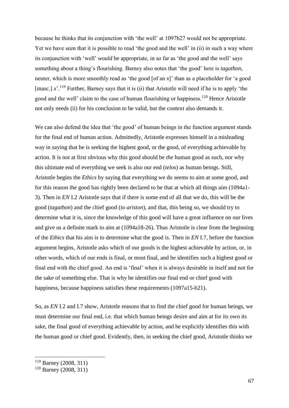because he thinks that its conjunction with 'the well' at 1097b27 would not be appropriate. Yet we have seen that it is possible to read 'the good and the well' in (ii) in such a way where its conjunction with 'well' *would* be appropriate, in so far as 'the good and the well' says something about a thing's flourishing. Barney also notes that 'the good' here is *tagathon*, neuter, which is more smoothly read as 'the good [of an *x*]' than as a placeholder for 'a good [masc.]  $x^2$ <sup>.119</sup> Further, Barney says that it is (ii) that Aristotle will need if he is to apply 'the good and the well' claim to the case of human flourishing or happiness.<sup>120</sup> Hence Aristotle not only needs (ii) for his conclusion to be valid, but the context also demands it.

We can also defend the idea that 'the good' of human beings in the function argument stands for the final end of human action. Admittedly, Aristotle expresses himself in a misleading way in saying that he is seeking the highest good, or the good, of everything achievable by action. It is not at first obvious why this good should be *the* human good as such, nor why this ultimate end of everything we seek is also our end (*telos*) as human beings. Still, Aristotle begins the *Ethics* by saying that everything we do seems to aim at some good, and for this reason the good has rightly been declared to be that at which all things aim (1094a1- 3). Then in *EN* I.2 Aristotle says that if there is some end of all that we do, this will be the good (*tagathon*) and the chief good (*to ariston*), and that, this being so, we should try to determine what it is, since the knowledge of this good will have a great influence on our lives and give us a definite mark to aim at (1094a18-26). Thus Aristotle is clear from the beginning of the *Ethics* that his aim is to determine what the good is. Then in *EN* I.7, before the function argument begins, Aristotle asks which of our goods is the highest achievable by action, or, in other words, which of our ends is final, or most final, and he identifies such a highest good or final end with the chief good. An end is 'final' when it is always desirable in itself and not for the sake of something else. That is why he identifies our final end or chief good with happiness, because happiness satisfies these requirements (1097a15-b21).

So, as *EN* I.2 and I.7 show, Aristotle reasons that to find the chief good for human beings, we must determine our final end, i.e. that which human beings desire and aim at for its own its sake, the final good of everything achievable by action, and he explicitly identifies this with the human good or chief good. Evidently, then, in seeking the chief good, Aristotle thinks we

<sup>119</sup> Barney (2008, 311)

<sup>120</sup> Barney (2008, 311)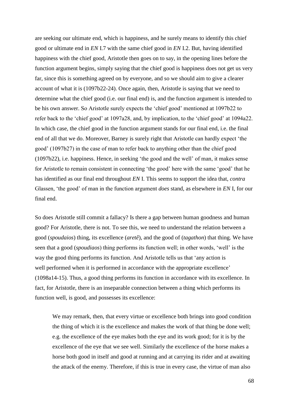are seeking our ultimate end, which is happiness, and he surely means to identify this chief good or ultimate end in *EN* I.7 with the same chief good in *EN* I.2. But, having identified happiness with the chief good, Aristotle then goes on to say, in the opening lines before the function argument begins, simply saying that the chief good is happiness does not get us very far, since this is something agreed on by everyone, and so we should aim to give a clearer account of what it is (1097b22-24). Once again, then, Aristotle is saying that we need to determine what the chief good (i.e. our final end) is, and the function argument is intended to be his own answer. So Aristotle surely expects the 'chief good' mentioned at 1097b22 to refer back to the 'chief good' at 1097a28, and, by implication, to the 'chief good' at 1094a22. In which case, the chief good in the function argument stands for our final end, i.e. the final end of all that we do. Moreover, Barney is surely right that Aristotle can hardly expect 'the good' (1097b27) in the case of man to refer back to anything other than the chief good (1097b22), i.e. happiness. Hence, in seeking 'the good and the well' of man, it makes sense for Aristotle to remain consistent in connecting 'the good' here with the same 'good' that he has identified as our final end throughout *EN* I. This seems to support the idea that, *contra* Glassen, 'the good' of man in the function argument *does* stand, as elsewhere in *EN* I, for our final end.

So does Aristotle still commit a fallacy? Is there a gap between human goodness and human good? For Aristotle, there is not. To see this, we need to understand the relation between a good (*spoudaios*) thing, its excellence (*aretê*), and the good of (*tagathon*) that thing. We have seen that a good (*spoudiaos*) thing performs its function well; in other words, 'well' is the way the good thing performs its function. And Aristotle tells us that 'any action is well performed when it is performed in accordance with the appropriate excellence' (1098a14-15). Thus, a good thing performs its function in accordance with its excellence. In fact, for Aristotle, there is an inseparable connection between a thing which performs its function well, is good, and possesses its excellence:

We may remark, then, that every virtue or excellence both brings into good condition the thing of which it is the excellence and makes the work of that thing be done well; e.g. the excellence of the eye makes both the eye and its work good; for it is by the excellence of the eye that we see well. Similarly the excellence of the horse makes a horse both good in itself and good at running and at carrying its rider and at awaiting the attack of the enemy. Therefore, if this is true in every case, the virtue of man also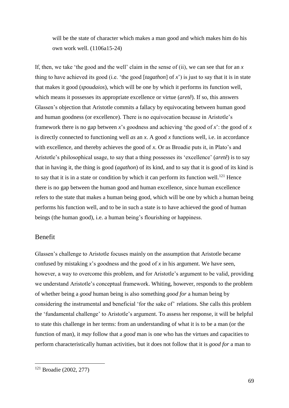will be the state of character which makes a man good and which makes him do his own work well. (1106a15-24)

If, then, we take 'the good and the well' claim in the sense of (ii), we can see that for an *x* thing to have achieved its good (i.e. 'the good [*tagathon*] of *x*') is just to say that it is in state that makes it good (*spoudaios*), which will be one by which it performs its function well, which means it possesses its appropriate excellence or virtue (*aretê*). If so, this answers Glassen's objection that Aristotle commits a fallacy by equivocating between human good and human goodness (or excellence). There is no equivocation because in Aristotle's framework there is no gap between *x*'s goodness and achieving 'the good of *x*': the good of *x*  is directly connected to functioning well *as* an *x*. A good *x* functions well, i.e. in accordance with excellence, and thereby achieves the good of *x*. Or as Broadie puts it, in Plato's and Aristotle's philosophical usage, to say that a thing possesses its 'excellence' (*aretê*) is to say that in having it, the thing is good (*agathon*) of its kind, and to say that it is good of its kind is to say that it is in a state or condition by which it can perform its function well.<sup>121</sup> Hence there is no gap between the human good and human excellence, since human excellence refers to the state that makes a human being good, which will be one by which a human being performs his function well, and to be in such a state is to have achieved the good of human beings (the human good), i.e. a human being's flourishing or happiness.

## Benefit

Glassen's challenge to Aristotle focuses mainly on the assumption that Aristotle became confused by mistaking  $x$ 's goodness and the good of  $x$  in his argument. We have seen, however, a way to overcome this problem, and for Aristotle's argument to be valid, providing we understand Aristotle's conceptual framework. Whiting, however, responds to the problem of whether being a *good* human being is also something *good for* a human being by considering the instrumental and beneficial 'for the sake of' relations. She calls this problem the 'fundamental challenge' to Aristotle's argument. To assess her response, it will be helpful to state this challenge in her terms: from an understanding of what it is to be a man (or the function of man), it *may* follow that a *good* man is one who has the virtues and capacities to perform characteristically human activities, but it does not follow that it is *good for* a man to

<sup>121</sup> Broadie (2002, 277)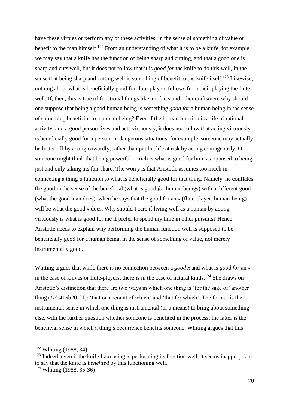have these virtues or perform any of these activities, in the sense of something of value or benefit to the man himself.<sup>122</sup> From an understanding of what it is to be a knife, for example, we may say that a knife has the function of being sharp and cutting, and that a good one is sharp and cuts well, but it does not follow that it is *good for* the knife to do this well, in the sense that being sharp and cutting well is something of benefit to the knife itself.<sup>123</sup> Likewise, nothing about what is beneficially good for flute-players follows from their playing the flute well. If, then, this is true of functional things like artefacts and other craftsmen, why should one suppose that being a good human being is something *good for* a human being in the sense of something beneficial to a human being? Even if the human function is a life of rational activity, and a good person lives and acts virtuously, it does not follow that acting virtuously is beneficially good for a person. In dangerous situations, for example, someone may actually be better off by acting cowardly, rather than put his life at risk by acting courageously. Or someone might think that being powerful or rich is what is good for him, as opposed to being just and only taking his fair share. The worry is that Aristotle assumes too much in connecting a thing's function to what is beneficially good for that thing. Namely, he conflates the good in the sense of the beneficial (what is good *for* human beings) with a different good (what the good man does), when he says that the good for an *x* (flute-player, human-being) will be what the good *x* does. Why should I care if living well as a human by acting virtuously is what is good for me if prefer to spend my time in other pursuits? Hence Aristotle needs to explain why performing the human function well is supposed to be beneficially good for a human being, in the sense of something of value, not merely instrumentally good.

Whiting argues that while there is no connection between a *good x* and what is *good for* an *x* in the case of knives or flute-players, there is in the case of natural kinds.<sup>124</sup> She draws on Aristotle's distinction that there are two ways in which one thing is 'for the sake of' another thing (*DA* 415b20-21): 'that on account of which' and 'that for which'. The former is the instrumental sense in which one thing is instrumental (or a means) to bring about something else, with the further question whether someone is benefited in the process; the latter is the beneficial sense in which a thing's occurrence benefits someone. Whiting argues that this

<sup>122</sup> Whiting (1988, 34)

 $123$  Indeed, even if the knife I am using is performing its function well, it seems inappropriate to say that the knife is *benefited* by this functioning well.

<sup>124</sup> Whiting (1988, 35-36)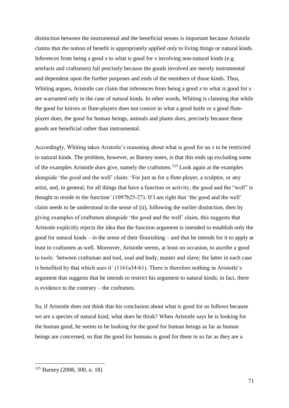distinction between the instrumental and the beneficial senses is important because Aristotle claims that the notion of benefit is appropriately applied *only* to living things or natural kinds. Inferences from being a good *x* to what is good for *x* involving non-natural kinds (e.g. artefacts and craftsmen) fail precisely because the goods involved are merely instrumental and dependent upon the further purposes and ends of the members of those kinds. Thus, Whiting argues, Aristotle can claim that inferences from being a good *x* to what is good for *x*  are warranted only in the case of natural kinds. In other words, Whiting is claiming that while the good for knives or flute-players does not consist in what a good knife or a good fluteplayer does, the good for human beings, animals and plants *does*, precisely because these goods are beneficial rather than instrumental.

Accordingly, Whiting takes Aristotle's reasoning about what is good for an *x* to be restricted to natural kinds. The problem, however, as Barney notes, is that this ends up excluding some of the examples Aristotle *does* give, namely the craftsmen.<sup>125</sup> Look again at the examples alongside 'the good and the well' claim: 'For just as for a flute-player, a sculptor, or any artist, and, in general, for all things that have a function or activity, the good and the "well" is thought to reside in the function' (1097b25-27). If I am right that 'the good and the well' claim needs to be understood in the sense of (ii), following the earlier distinction, then by giving examples of craftsmen alongside 'the good and the well' claim, this suggests that Aristotle explicitly rejects the idea that the function argument is intended to establish only the good for natural kinds – in the sense of their flourishing – and that he intends for it to apply at least to craftsmen as well. Moreover, Aristotle seems, at least on occasion, to ascribe a good to tools: 'between craftsman and tool, soul and body, master and slave; the latter in each case is benefited by that which uses it' (1161a34-b1). There is therefore nothing in Aristotle's argument that suggests that he intends to restrict his argument to natural kinds; in fact, there is evidence to the contrary – the craftsmen.

So, if Aristotle does not think that his conclusion about what is good for us follows because we are a species of natural kind, what does he think? When Aristotle says he is looking for the human good, he seems to be looking for the good for human beings as far as human beings are concerned, so that the good for humans is good for them in so far as they are a

<sup>125</sup> Barney (2008, 300, n. 18)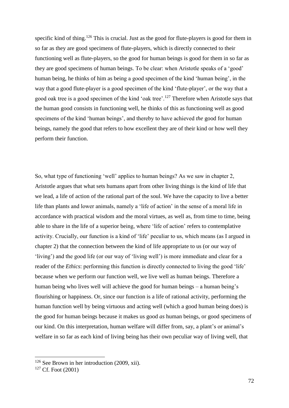specific kind of thing.<sup>126</sup> This is crucial. Just as the good for flute-players is good for them in so far as they are good specimens of flute-players, which is directly connected to their functioning well as flute-players, so the good for human beings is good for them in so far as they are good specimens of human beings. To be clear: when Aristotle speaks of a 'good' human being, he thinks of him as being a good specimen of the kind 'human being', in the way that a good flute-player is a good specimen of the kind 'flute-player', or the way that a good oak tree is a good specimen of the kind 'oak tree'.<sup>127</sup> Therefore when Aristotle says that the human good consists in functioning well, he thinks of this as functioning well as good specimens of the kind 'human beings', and thereby to have achieved *the* good for human beings, namely the good that refers to how excellent they are of their kind or how well they perform their function.

So, what type of functioning 'well' applies to human beings? As we saw in chapter 2, Aristotle argues that what sets humans apart from other living things is the kind of life that we lead, a life of action of the rational part of the soul. We have the capacity to live a better life than plants and lower animals, namely a 'life of action' in the sense of a moral life in accordance with practical wisdom and the moral virtues, as well as, from time to time, being able to share in the life of a superior being, where 'life of action' refers to contemplative activity. Crucially, our function is a kind of 'life' peculiar to us, which means (as I argued in chapter 2) that the connection between the kind of life appropriate to us (or our way of 'living') and the good life (or our way of 'living well') is more immediate and clear for a reader of the *Ethics*: performing this function is directly connected to living the good 'life' because when we perform our function well, we live well as human beings. Therefore a human being who lives well will achieve the good for human beings – a human being's flourishing or happiness. Or, since our function is a life of rational activity, performing the human function well by being virtuous and acting well (which a good human being does) is the good for human beings because it makes us good *as* human beings, or good specimens of our kind. On this interpretation, human welfare will differ from, say, a plant's or animal's welfare in so far as each kind of living being has their own peculiar way of living well, that

<sup>126</sup> See Brown in her introduction (2009, xii).

 $127$  Cf. Foot (2001)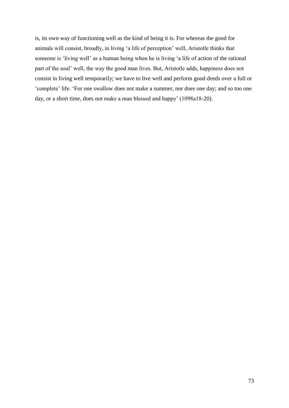is, its own way of functioning well as the kind of being it is. For whereas the good for animals will consist, broadly, in living 'a life of perception' well, Aristotle thinks that someone is 'living well' as a human being when he is living 'a life of action of the rational part of the soul' well, the way the good man lives. But, Aristotle adds, happiness does not consist in living well temporarily; we have to live well and perform good deeds over a full or 'complete' life. 'For one swallow does not make a summer, nor does one day; and so too one day, or a short time, does not make a man blessed and happy' (1098a18-20).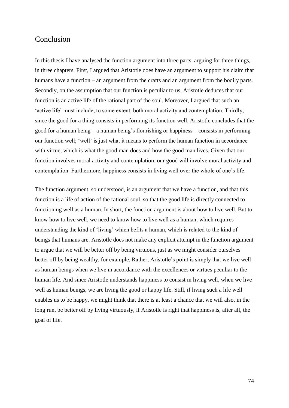## Conclusion

In this thesis I have analysed the function argument into three parts, arguing for three things, in three chapters. First, I argued that Aristotle does have an argument to support his claim that humans have a function – an argument from the crafts and an argument from the bodily parts. Secondly, on the assumption that our function is peculiar to us, Aristotle deduces that our function is an active life of the rational part of the soul. Moreover, I argued that such an 'active life' must include, to some extent, both moral activity and contemplation. Thirdly, since the good for a thing consists in performing its function well, Aristotle concludes that the good for a human being – a human being's flourishing or happiness – consists in performing our function well; 'well' is just what it means to perform the human function in accordance with virtue, which is what the good man does and how the good man lives. Given that our function involves moral activity and contemplation, our good will involve moral activity and contemplation. Furthermore, happiness consists in living well over the whole of one's life.

The function argument, so understood, is an argument that we have a function, and that this function is a life of action of the rational soul, so that the good life is directly connected to functioning well as a human. In short, the function argument is about how to live well. But to know how to live well, we need to know how to live well as a human, which requires understanding the kind of 'living' which befits a human, which is related to the kind of beings that humans are. Aristotle does not make any explicit attempt in the function argument to argue that we will be better off by being virtuous, just as we might consider ourselves better off by being wealthy, for example. Rather, Aristotle's point is simply that we live well as human beings when we live in accordance with the excellences or virtues peculiar to the human life. And since Aristotle understands happiness to consist in living well, when we live well as human beings, we are living the good or happy life. Still, if living such a life well enables us to be happy, we might think that there is at least a chance that we will also, in the long run, be better off by living virtuously, if Aristotle is right that happiness is, after all, the goal of life.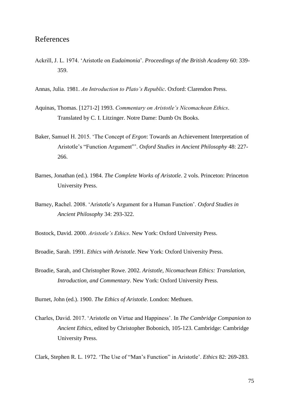## References

- Ackrill, J. L. 1974. 'Aristotle on *Eudaimonia*'. *Proceedings of the British Academy* 60: 339- 359.
- Annas, Julia. 1981. *An Introduction to Plato's Republic*. Oxford: Clarendon Press.
- Aquinas, Thomas. [1271-2] 1993. *Commentary on Aristotle's Nicomachean Ethics*. Translated by C. I. Litzinger. Notre Dame: Dumb Ox Books.
- Baker, Samuel H. 2015. 'The Concept of *Ergon*: Towards an Achievement Interpretation of Aristotle's "Function Argument"'. *Oxford Studies in Ancient Philosophy* 48: 227- 266.
- Barnes, Jonathan (ed.). 1984. *The Complete Works of Aristotle*. 2 vols. Princeton: Princeton University Press.
- Barney, Rachel. 2008. 'Aristotle's Argument for a Human Function'. *Oxford Studies in Ancient Philosophy* 34: 293-322.

Bostock, David. 2000. *Aristotle's Ethics*. New York: Oxford University Press.

Broadie, Sarah. 1991. *Ethics with Aristotle*. New York: Oxford University Press.

Broadie, Sarah, and Christopher Rowe. 2002. *Aristotle, Nicomachean Ethics: Translation, Introduction, and Commentary*. New York: Oxford University Press.

Burnet, John (ed.). 1900. *The Ethics of Aristotle*. London: Methuen.

Charles, David. 2017. 'Aristotle on Virtue and Happiness'. In *The Cambridge Companion to Ancient Ethics*, edited by Christopher Bobonich, 105-123. Cambridge: Cambridge University Press.

Clark, Stephen R. L. 1972. 'The Use of "Man's Function" in Aristotle'. *Ethics* 82: 269-283.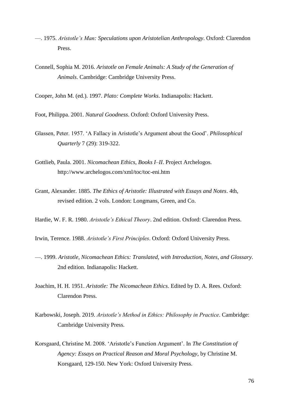- —. 1975. *Aristotle's Man: Speculations upon Aristotelian Anthropology*. Oxford: Clarendon Press.
- Connell, Sophia M. 2016. *Aristotle on Female Animals: A Study of the Generation of Animals*. Cambridge: Cambridge University Press.

Cooper, John M. (ed.). 1997. *Plato: Complete Works*. Indianapolis: Hackett.

Foot, Philippa. 2001. *Natural Goodness*. Oxford: Oxford University Press.

- Glassen, Peter. 1957. 'A Fallacy in Aristotle's Argument about the Good'. *Philosophical Quarterly* 7 (29): 319-322.
- Gottlieb, Paula. 2001. *Nicomachean Ethics, Books I–II*. Project Archelogos. http://www.archelogos.com/xml/toc/toc-eni.htm
- Grant, Alexander. 1885. *The Ethics of Aristotle: Illustrated with Essays and Notes*. 4th, revised edition. 2 vols. London: Longmans, Green, and Co.
- Hardie, W. F. R. 1980. *Aristotle's Ethical Theory*. 2nd edition. Oxford: Clarendon Press.
- Irwin, Terence. 1988. *Aristotle's First Principles*. Oxford: Oxford University Press.
- —. 1999. *Aristotle, Nicomachean Ethics: Translated, with Introduction, Notes, and Glossary*. 2nd edition. Indianapolis: Hackett.
- Joachim, H. H. 1951. *Aristotle: The Nicomachean Ethics*. Edited by D. A. Rees. Oxford: Clarendon Press.
- Karbowski, Joseph. 2019. *Aristotle's Method in Ethics: Philosophy in Practice*. Cambridge: Cambridge University Press.
- Korsgaard, Christine M. 2008. 'Aristotle's Function Argument'. In *The Constitution of Agency: Essays on Practical Reason and Moral Psychology*, by Christine M. Korsgaard, 129-150. New York: Oxford University Press.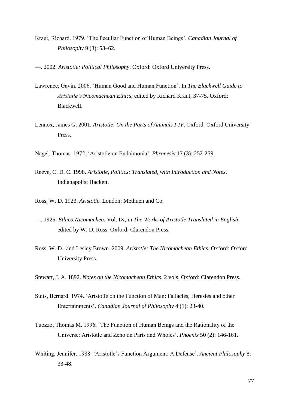- Kraut, Richard. 1979. 'The Peculiar Function of Human Beings'. *Canadian Journal of Philosophy* 9 (3): 53–62.
- —. 2002. *Aristotle: Political Philosophy*. Oxford: Oxford University Press.
- Lawrence, Gavin. 2006. 'Human Good and Human Function'. In *The Blackwell Guide to Aristotle's Nicomachean Ethics*, edited by Richard Kraut, 37-75. Oxford: Blackwell.
- Lennox, James G. 2001. *Aristotle: On the Parts of Animals I-IV*. Oxford: Oxford University Press.
- Nagel, Thomas. 1972. 'Aristotle on Eudaimonia'. *Phronesis* 17 (3): 252-259.
- Reeve, C. D. C. 1998. *Aristotle, Politics: Translated, with Introduction and Notes*. Indianapolis: Hackett.
- Ross, W. D. 1923. *Aristotle*. London: Methuen and Co.
- —. 1925. *Ethica Nicomachea*. Vol. IX, in *The Works of Aristotle Translated in English*, edited by W. D. Ross. Oxford: Clarendon Press.
- Ross, W. D., and Lesley Brown. 2009. *Aristotle: The Nicomachean Ethics*. Oxford: Oxford University Press.
- Stewart, J. A. 1892. *Notes on the Nicomachean Ethics*. 2 vols. Oxford: Clarendon Press.
- Suits, Bernard. 1974. 'Aristotle on the Function of Man: Fallacies, Heresies and other Entertainments'. *Canadian Journal of Philosophy* 4 (1): 23-40.
- Tuozzo, Thomas M. 1996. 'The Function of Human Beings and the Rationality of the Universe: Aristotle and Zeno on Parts and Wholes'. *Phoenix* 50 (2): 146-161.
- Whiting, Jennifer. 1988. 'Aristotle's Function Argument: A Defense'. *Ancient Philosophy* 8: 33-48.